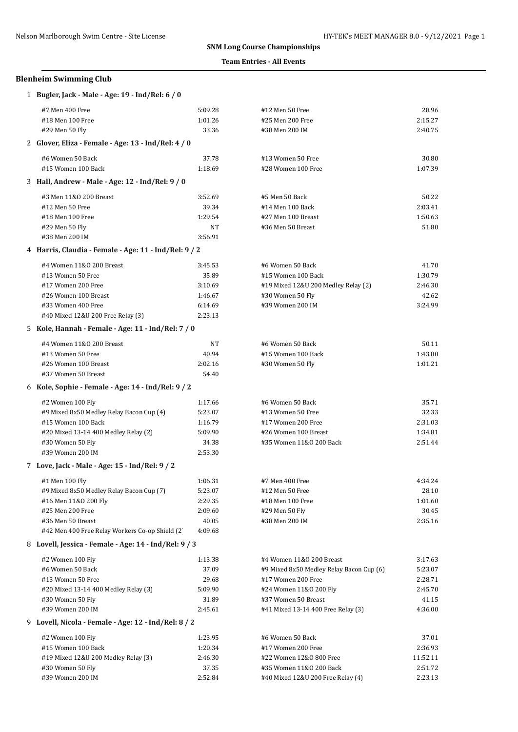### **Team Entries - All Events**

## **Blenheim Swimming Club**

 $\overline{a}$ 

| 1 Bugler, Jack - Male - Age: 19 - Ind/Rel: 6 / 0      |         |                                          |          |
|-------------------------------------------------------|---------|------------------------------------------|----------|
| #7 Men 400 Free                                       | 5:09.28 | #12 Men 50 Free                          | 28.96    |
| #18 Men 100 Free                                      | 1:01.26 | #25 Men 200 Free                         | 2:15.27  |
| #29 Men 50 Fly                                        | 33.36   | #38 Men 200 IM                           | 2:40.75  |
| 2 Glover, Eliza - Female - Age: 13 - Ind/Rel: 4 / 0   |         |                                          |          |
| #6 Women 50 Back                                      | 37.78   | #13 Women 50 Free                        | 30.80    |
| #15 Women 100 Back                                    | 1:18.69 | #28 Women 100 Free                       | 1:07.39  |
| 3 Hall, Andrew - Male - Age: 12 - Ind/Rel: 9 / 0      |         |                                          |          |
| #3 Men 11&0 200 Breast                                | 3:52.69 | #5 Men 50 Back                           | 50.22    |
| #12 Men 50 Free                                       | 39.34   | #14 Men 100 Back                         | 2:03.41  |
| #18 Men 100 Free                                      | 1:29.54 | #27 Men 100 Breast                       | 1:50.63  |
| #29 Men 50 Fly                                        | NT      | #36 Men 50 Breast                        | 51.80    |
| #38 Men 200 IM                                        | 3:56.91 |                                          |          |
| 4 Harris, Claudia - Female - Age: 11 - Ind/Rel: 9 / 2 |         |                                          |          |
| #4 Women 11&0 200 Breast                              | 3:45.53 | #6 Women 50 Back                         | 41.70    |
| #13 Women 50 Free                                     | 35.89   | #15 Women 100 Back                       | 1:30.79  |
| #17 Women 200 Free                                    | 3:10.69 | #19 Mixed 12&U 200 Medley Relay (2)      | 2:46.30  |
| #26 Women 100 Breast                                  | 1:46.67 | #30 Women 50 Fly                         | 42.62    |
| #33 Women 400 Free                                    | 6:14.69 | #39 Women 200 IM                         | 3:24.99  |
| #40 Mixed 12&U 200 Free Relay (3)                     | 2:23.13 |                                          |          |
| 5 Kole, Hannah - Female - Age: 11 - Ind/Rel: 7 / 0    |         |                                          |          |
| #4 Women 11&0 200 Breast                              | NT      | #6 Women 50 Back                         | 50.11    |
| #13 Women 50 Free                                     | 40.94   | #15 Women 100 Back                       | 1:43.80  |
| #26 Women 100 Breast                                  | 2:02.16 | #30 Women 50 Fly                         | 1:01.21  |
| #37 Women 50 Breast                                   | 54.40   |                                          |          |
| 6 Kole, Sophie - Female - Age: 14 - Ind/Rel: 9 / 2    |         |                                          |          |
| #2 Women 100 Fly                                      | 1:17.66 | #6 Women 50 Back                         | 35.71    |
| #9 Mixed 8x50 Medley Relay Bacon Cup (4)              | 5:23.07 | #13 Women 50 Free                        | 32.33    |
| #15 Women 100 Back                                    | 1:16.79 | #17 Women 200 Free                       | 2:31.03  |
| #20 Mixed 13-14 400 Medley Relay (2)                  | 5:09.90 | #26 Women 100 Breast                     | 1:34.81  |
| #30 Women 50 Fly                                      | 34.38   | #35 Women 11&0 200 Back                  | 2:51.44  |
| #39 Women 200 IM                                      | 2:53.30 |                                          |          |
| 7 Love, Jack - Male - Age: 15 - Ind/Rel: 9 / 2        |         |                                          |          |
| #1 Men 100 Fly                                        | 1:06.31 | #7 Men 400 Free                          | 4:34.24  |
| #9 Mixed 8x50 Medley Relay Bacon Cup (7)              | 5:23.07 | #12 Men 50 Free                          | 28.10    |
| #16 Men 11&0 200 Fly                                  | 2:29.35 | #18 Men 100 Free                         | 1:01.60  |
| #25 Men 200 Free                                      | 2:09.60 | #29 Men 50 Fly                           | 30.45    |
| #36 Men 50 Breast                                     | 40.05   | #38 Men 200 IM                           | 2:35.16  |
| #42 Men 400 Free Relay Workers Co-op Shield (2)       | 4:09.68 |                                          |          |
| 8 Lovell, Jessica - Female - Age: 14 - Ind/Rel: 9 / 3 |         |                                          |          |
| #2 Women 100 Fly                                      | 1:13.38 | #4 Women 11&0 200 Breast                 | 3:17.63  |
| #6 Women 50 Back                                      | 37.09   | #9 Mixed 8x50 Medley Relay Bacon Cup (6) | 5:23.07  |
| #13 Women 50 Free                                     | 29.68   | #17 Women 200 Free                       | 2:28.71  |
| #20 Mixed 13-14 400 Medley Relay (3)                  | 5:09.90 | #24 Women 11&0 200 Fly                   | 2:45.70  |
| #30 Women 50 Fly                                      | 31.89   | #37 Women 50 Breast                      | 41.15    |
| #39 Women 200 IM                                      | 2:45.61 | #41 Mixed 13-14 400 Free Relay (3)       | 4:36.00  |
| 9 Lovell, Nicola - Female - Age: 12 - Ind/Rel: 8 / 2  |         |                                          |          |
| #2 Women 100 Fly                                      | 1:23.95 | #6 Women 50 Back                         | 37.01    |
| #15 Women 100 Back                                    | 1:20.34 | #17 Women 200 Free                       | 2:36.93  |
| #19 Mixed 12&U 200 Medley Relay (3)                   | 2:46.30 | #22 Women 12&0 800 Free                  | 11:52.11 |
| #30 Women 50 Fly                                      | 37.35   | #35 Women 11&0 200 Back                  | 2:51.72  |
| #39 Women 200 IM                                      | 2:52.84 | #40 Mixed 12&U 200 Free Relay (4)        | 2:23.13  |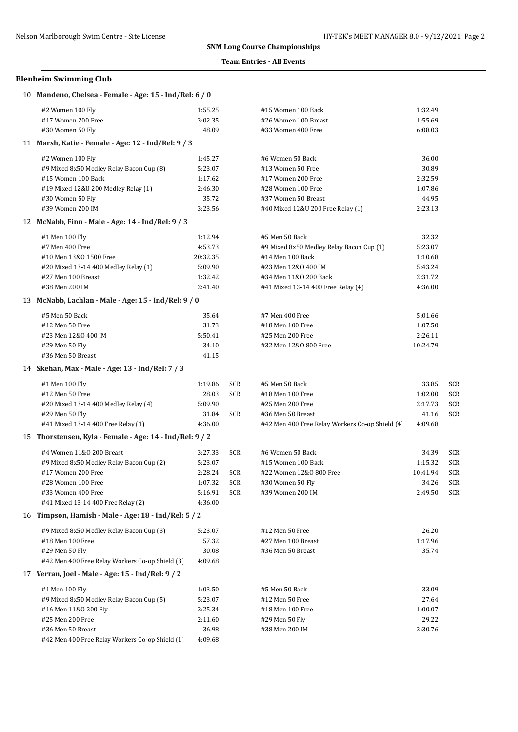## **Team Entries - All Events**

## **Blenheim Swimming Club**

| 10 Mandeno, Chelsea - Female - Age: 15 - Ind/Rel: 6 / 0  |          |            |                                                 |          |     |
|----------------------------------------------------------|----------|------------|-------------------------------------------------|----------|-----|
| #2 Women 100 Fly                                         | 1:55.25  |            | #15 Women 100 Back                              | 1:32.49  |     |
| #17 Women 200 Free                                       | 3:02.35  |            | #26 Women 100 Breast                            | 1:55.69  |     |
| #30 Women 50 Fly                                         | 48.09    |            | #33 Women 400 Free                              | 6:08.03  |     |
| 11 Marsh, Katie - Female - Age: 12 - Ind/Rel: 9 / 3      |          |            |                                                 |          |     |
| #2 Women 100 Fly                                         | 1:45.27  |            | #6 Women 50 Back                                | 36.00    |     |
| #9 Mixed 8x50 Medley Relay Bacon Cup (8)                 | 5:23.07  |            | #13 Women 50 Free                               | 30.89    |     |
| #15 Women 100 Back                                       | 1:17.62  |            | #17 Women 200 Free                              | 2:32.59  |     |
| #19 Mixed 12&U 200 Medley Relay (1)                      | 2:46.30  |            | #28 Women 100 Free                              | 1:07.86  |     |
| #30 Women 50 Fly                                         | 35.72    |            | #37 Women 50 Breast                             | 44.95    |     |
| #39 Women 200 IM                                         | 3:23.56  |            | #40 Mixed 12&U 200 Free Relay (1)               | 2:23.13  |     |
| 12 McNabb, Finn - Male - Age: 14 - Ind/Rel: 9 / 3        |          |            |                                                 |          |     |
| #1 Men 100 Fly                                           | 1:12.94  |            | #5 Men 50 Back                                  | 32.32    |     |
| #7 Men 400 Free                                          | 4:53.73  |            | #9 Mixed 8x50 Medley Relay Bacon Cup (1)        | 5:23.07  |     |
| #10 Men 13&0 1500 Free                                   | 20:32.35 |            | #14 Men 100 Back                                | 1:10.68  |     |
| #20 Mixed 13-14 400 Medley Relay (1)                     | 5:09.90  |            | #23 Men 12&0 400 IM                             | 5:43.24  |     |
| #27 Men 100 Breast                                       | 1:32.42  |            | #34 Men 11&0 200 Back                           | 2:31.72  |     |
| #38 Men 200 IM                                           | 2:41.40  |            | #41 Mixed 13-14 400 Free Relay (4)              | 4:36.00  |     |
| 13 McNabb, Lachlan - Male - Age: 15 - Ind/Rel: 9 / 0     |          |            |                                                 |          |     |
| #5 Men 50 Back                                           | 35.64    |            | #7 Men 400 Free                                 | 5:01.66  |     |
| #12 Men 50 Free                                          | 31.73    |            | #18 Men 100 Free                                | 1:07.50  |     |
| #23 Men 12&0 400 IM                                      | 5:50.41  |            | #25 Men 200 Free                                | 2:26.11  |     |
| #29 Men 50 Fly                                           | 34.10    |            | #32 Men 12&0 800 Free                           | 10:24.79 |     |
| #36 Men 50 Breast                                        | 41.15    |            |                                                 |          |     |
| 14 Skehan, Max - Male - Age: 13 - Ind/Rel: 7 / 3         |          |            |                                                 |          |     |
| #1 Men 100 Fly                                           | 1:19.86  | SCR        | #5 Men 50 Back                                  | 33.85    | SCR |
| #12 Men 50 Free                                          | 28.03    | <b>SCR</b> | #18 Men 100 Free                                | 1:02.00  | SCR |
| #20 Mixed 13-14 400 Medley Relay (4)                     | 5:09.90  |            | #25 Men 200 Free                                | 2:17.73  | SCR |
| #29 Men 50 Fly                                           | 31.84    | SCR        | #36 Men 50 Breast                               | 41.16    | SCR |
| #41 Mixed 13-14 400 Free Relay (1)                       | 4:36.00  |            | #42 Men 400 Free Relay Workers Co-op Shield (4) | 4:09.68  |     |
| 15 Thorstensen, Kyla - Female - Age: 14 - Ind/Rel: 9 / 2 |          |            |                                                 |          |     |
| #4 Women 11&0 200 Breast                                 | 3:27.33  | SCR        | #6 Women 50 Back                                | 34.39    | SCR |
| #9 Mixed 8x50 Medley Relay Bacon Cup (2)                 | 5:23.07  |            | #15 Women 100 Back                              | 1:15.32  | SCR |
| #17 Women 200 Free                                       | 2:28.24  | <b>SCR</b> | #22 Women 12&0 800 Free                         | 10:41.94 | SCR |
| #28 Women 100 Free                                       | 1:07.32  | SCR        | #30 Women 50 Fly                                | 34.26    | SCR |
| #33 Women 400 Free                                       | 5:16.91  | <b>SCR</b> | #39 Women 200 IM                                | 2:49.50  | SCR |
| #41 Mixed 13-14 400 Free Relay (2)                       | 4:36.00  |            |                                                 |          |     |
| 16 Timpson, Hamish - Male - Age: 18 - Ind/Rel: 5 / 2     |          |            |                                                 |          |     |
| #9 Mixed 8x50 Medley Relay Bacon Cup (3)                 | 5:23.07  |            | #12 Men 50 Free                                 | 26.20    |     |
| #18 Men 100 Free                                         | 57.32    |            | #27 Men 100 Breast                              | 1:17.96  |     |
| #29 Men 50 Fly                                           | 30.08    |            | #36 Men 50 Breast                               | 35.74    |     |
| #42 Men 400 Free Relay Workers Co-op Shield (3)          | 4:09.68  |            |                                                 |          |     |
| 17 Verran, Joel - Male - Age: 15 - Ind/Rel: 9 / 2        |          |            |                                                 |          |     |
| #1 Men 100 Fly                                           | 1:03.50  |            | #5 Men 50 Back                                  | 33.09    |     |
| #9 Mixed 8x50 Medley Relay Bacon Cup (5)                 | 5:23.07  |            | #12 Men 50 Free                                 | 27.64    |     |
| #16 Men 11&0 200 Fly                                     | 2:25.34  |            | #18 Men 100 Free                                | 1:00.07  |     |
| #25 Men 200 Free                                         | 2:11.60  |            | #29 Men 50 Fly                                  | 29.22    |     |
| #36 Men 50 Breast                                        | 36.98    |            | #38 Men 200 IM                                  | 2:30.76  |     |
| #42 Men 400 Free Relay Workers Co-op Shield (1)          | 4:09.68  |            |                                                 |          |     |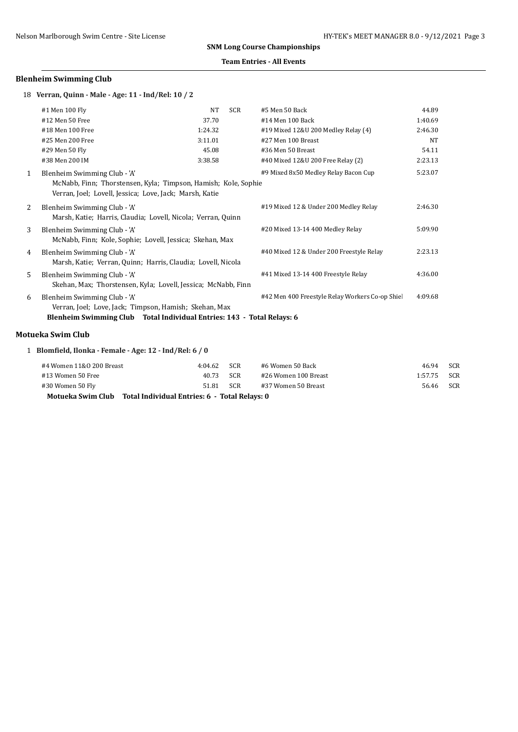### **Team Entries - All Events**

## **Blenheim Swimming Club**

18 **Verran, Quinn - Male - Age: 11 - Ind/Rel: 10 / 2**

|              | #1 Men 100 Fly                                                                                                                                                   | NT      | <b>SCR</b> | #5 Men 50 Back                                 | 44.89   |
|--------------|------------------------------------------------------------------------------------------------------------------------------------------------------------------|---------|------------|------------------------------------------------|---------|
|              | #12 Men 50 Free                                                                                                                                                  | 37.70   |            | #14 Men 100 Back                               | 1:40.69 |
|              | #18 Men 100 Free                                                                                                                                                 | 1:24.32 |            | #19 Mixed 12&U 200 Medley Relay (4)            | 2:46.30 |
|              | #25 Men 200 Free                                                                                                                                                 | 3:11.01 |            | #27 Men 100 Breast                             | NT      |
|              | #29 Men 50 Fly                                                                                                                                                   | 45.08   |            | #36 Men 50 Breast                              | 54.11   |
|              | #38 Men 200 IM                                                                                                                                                   | 3:38.58 |            | #40 Mixed 12&U 200 Free Relay (2)              | 2:23.13 |
| $\mathbf{1}$ | Blenheim Swimming Club - 'A'<br>McNabb, Finn; Thorstensen, Kyla; Timpson, Hamish; Kole, Sophie<br>Verran, Joel; Lovell, Jessica; Love, Jack; Marsh, Katie        |         |            | #9 Mixed 8x50 Medley Relay Bacon Cup           | 5:23.07 |
| 2            | Blenheim Swimming Club - 'A'<br>Marsh, Katie; Harris, Claudia; Lovell, Nicola; Verran, Quinn                                                                     |         |            | #19 Mixed 12 & Under 200 Medley Relay          | 2:46.30 |
| 3            | Blenheim Swimming Club - 'A'<br>McNabb, Finn; Kole, Sophie; Lovell, Jessica; Skehan, Max                                                                         |         |            | #20 Mixed 13-14 400 Medley Relay               | 5:09.90 |
| 4            | Blenheim Swimming Club - 'A'<br>Marsh, Katie; Verran, Quinn; Harris, Claudia; Lovell, Nicola                                                                     |         |            | #40 Mixed 12 & Under 200 Freestyle Relay       | 2:23.13 |
| 5            | Blenheim Swimming Club - 'A'<br>Skehan, Max; Thorstensen, Kyla; Lovell, Jessica; McNabb, Finn                                                                    |         |            | #41 Mixed 13-14 400 Freestyle Relay            | 4:36.00 |
| 6            | Blenheim Swimming Club - 'A'<br>Verran, Joel; Love, Jack; Timpson, Hamish; Skehan, Max<br>Blenheim Swimming Club Total Individual Entries: 143 - Total Relays: 6 |         |            | #42 Men 400 Freestyle Relay Workers Co-op Shie | 4:09.68 |

## **Motueka Swim Club**

| 1 Blomfield, Ilonka - Female - Age: 12 - Ind/Rel: 6 / 0 |  |  |  |  |  |  |  |
|---------------------------------------------------------|--|--|--|--|--|--|--|
|---------------------------------------------------------|--|--|--|--|--|--|--|

| Motueka Swim Club Total Individual Entries: 6 - Total Relays: 0 |         |       |                      |         |            |  |  |
|-----------------------------------------------------------------|---------|-------|----------------------|---------|------------|--|--|
| #30 Women 50 Fly                                                | 51.81   | - SCR | #37 Women 50 Breast  | 56.46   | <b>SCR</b> |  |  |
| #13 Women 50 Free                                               | 40.73   | -SCR  | #26 Women 100 Breast | 1:57.75 | SCR        |  |  |
| #4 Women 11&0 200 Breast                                        | 4:04.62 | - SCR | #6 Women 50 Back     | 46.94   | <b>SCR</b> |  |  |
|                                                                 |         |       |                      |         |            |  |  |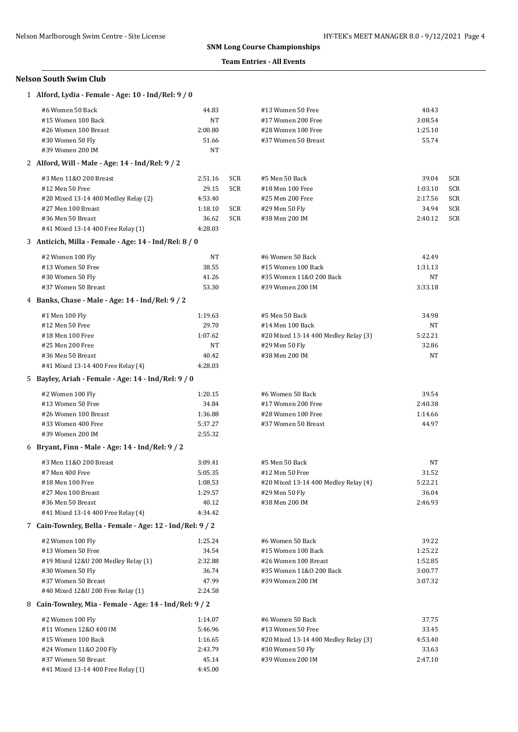#### **Team Entries - All Events**

| 1 Alford, Lydia - Female - Age: 10 - Ind/Rel: 9 / 0       |                    |            |                                      |                  |     |
|-----------------------------------------------------------|--------------------|------------|--------------------------------------|------------------|-----|
| #6 Women 50 Back                                          | 44.83              |            | #13 Women 50 Free                    | 40.43            |     |
| #15 Women 100 Back                                        | NT                 |            | #17 Women 200 Free                   | 3:08.54          |     |
| #26 Women 100 Breast                                      | 2:00.80            |            | #28 Women 100 Free                   | 1:25.10          |     |
| #30 Women 50 Fly                                          | 51.66              |            | #37 Women 50 Breast                  | 55.74            |     |
| #39 Women 200 IM                                          | NT                 |            |                                      |                  |     |
| 2 Alford, Will - Male - Age: 14 - Ind/Rel: 9 / 2          |                    |            |                                      |                  |     |
| #3 Men 11&0 200 Breast                                    | 2:51.16            | <b>SCR</b> | #5 Men 50 Back                       | 39.04            | SCR |
| #12 Men 50 Free                                           | 29.15              | <b>SCR</b> | #18 Men 100 Free                     | 1:03.10          | SCR |
| #20 Mixed 13-14 400 Medley Relay (2)                      | 4:53.40            |            | #25 Men 200 Free                     | 2:17.56          | SCR |
| #27 Men 100 Breast                                        | 1:18.10            | SCR        | #29 Men 50 Fly                       | 34.94            | SCR |
| #36 Men 50 Breast                                         | 36.62              | SCR        | #38 Men 200 IM                       | 2:40.12          | SCR |
| #41 Mixed 13-14 400 Free Relay (1)                        | 4:28.03            |            |                                      |                  |     |
| 3 Anticich, Milla - Female - Age: 14 - Ind/Rel: 8 / 0     |                    |            |                                      |                  |     |
| #2 Women 100 Fly                                          | NT                 |            | #6 Women 50 Back                     | 42.49            |     |
| #13 Women 50 Free                                         | 38.55              |            | #15 Women 100 Back                   | 1:31.13          |     |
| #30 Women 50 Fly                                          | 41.26              |            | #35 Women 11&0 200 Back              | NT               |     |
| #37 Women 50 Breast                                       | 53.30              |            | #39 Women 200 IM                     | 3:33.18          |     |
| 4 Banks, Chase - Male - Age: 14 - Ind/Rel: 9 / 2          |                    |            |                                      |                  |     |
| #1 Men 100 Fly                                            | 1:19.63            |            | #5 Men 50 Back                       | 34.98            |     |
| #12 Men 50 Free                                           | 29.70              |            | #14 Men 100 Back                     | NT               |     |
| #18 Men 100 Free                                          | 1:07.62            |            | #20 Mixed 13-14 400 Medley Relay (3) | 5:22.21          |     |
| #25 Men 200 Free                                          | NT                 |            | #29 Men 50 Fly                       | 32.86            |     |
| #36 Men 50 Breast                                         | 40.42              |            | #38 Men 200 IM                       | NT               |     |
| #41 Mixed 13-14 400 Free Relay (4)                        | 4:28.03            |            |                                      |                  |     |
| 5 Bayley, Ariah - Female - Age: 14 - Ind/Rel: 9 / 0       |                    |            |                                      |                  |     |
|                                                           |                    |            |                                      |                  |     |
| #2 Women 100 Fly                                          | 1:20.15            |            | #6 Women 50 Back                     | 39.54            |     |
| #13 Women 50 Free                                         | 34.84              |            | #17 Women 200 Free                   | 2:40.38          |     |
| #26 Women 100 Breast                                      | 1:36.88            |            | #28 Women 100 Free                   | 1:14.66          |     |
| #33 Women 400 Free<br>#39 Women 200 IM                    | 5:37.27<br>2:55.32 |            | #37 Women 50 Breast                  | 44.97            |     |
| 6 Bryant, Finn - Male - Age: 14 - Ind/Rel: 9 / 2          |                    |            |                                      |                  |     |
|                                                           |                    |            |                                      |                  |     |
| #3 Men 11&0 200 Breast                                    | 3:09.41            |            | #5 Men 50 Back                       | NΤ               |     |
| #7 Men 400 Free                                           | 5:05.35            |            | #12 Men 50 Free                      | 31.52            |     |
| #18 Men 100 Free                                          | 1:08.53            |            | #20 Mixed 13-14 400 Medley Relay (4) | 5:22.21          |     |
| #27 Men 100 Breast                                        | 1:29.57            |            | #29 Men 50 Fly<br>#38 Men 200 IM     | 36.04            |     |
| #36 Men 50 Breast<br>#41 Mixed 13-14 400 Free Relay (4)   | 40.12<br>4:34.42   |            |                                      | 2:46.93          |     |
| 7 Cain-Townley, Bella - Female - Age: 12 - Ind/Rel: 9 / 2 |                    |            |                                      |                  |     |
|                                                           | 1:25.24            |            | #6 Women 50 Back                     |                  |     |
| #2 Women 100 Fly<br>#13 Women 50 Free                     | 34.54              |            | #15 Women 100 Back                   | 39.22<br>1:25.22 |     |
| #19 Mixed 12&U 200 Medley Relay (1)                       | 2:32.88            |            | #26 Women 100 Breast                 | 1:52.85          |     |
| #30 Women 50 Fly                                          | 36.74              |            | #35 Women 11&0 200 Back              | 3:00.77          |     |
| #37 Women 50 Breast                                       | 47.99              |            | #39 Women 200 IM                     | 3:07.32          |     |
| #40 Mixed 12&U 200 Free Relay (1)                         | 2:24.58            |            |                                      |                  |     |
| 8 Cain-Townley, Mia - Female - Age: 14 - Ind/Rel: 9 / 2   |                    |            |                                      |                  |     |
|                                                           |                    |            |                                      |                  |     |
| #2 Women 100 Fly                                          | 1:14.07            |            | #6 Women 50 Back                     | 37.75            |     |
| #11 Women 12&0 400 IM                                     | 5:46.96            |            | #13 Women 50 Free                    | 33.45            |     |
| #15 Women 100 Back                                        | 1:16.65            |            | #20 Mixed 13-14 400 Medley Relay (3) | 4:53.40          |     |
| #24 Women 11&0 200 Fly                                    | 2:43.79            |            | #30 Women 50 Fly<br>#39 Women 200 IM | 33.63            |     |
| #37 Women 50 Breast                                       | 45.14              |            |                                      | 2:47.10          |     |
| #41 Mixed 13-14 400 Free Relay (1)                        | 4:45.00            |            |                                      |                  |     |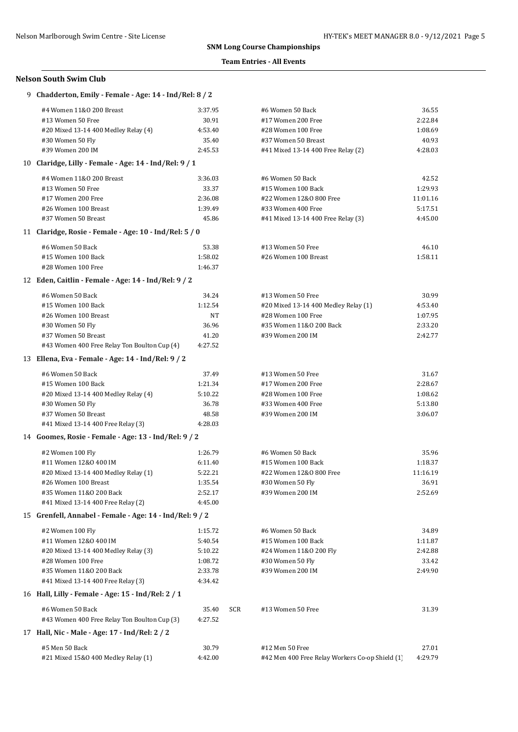#### **Team Entries - All Events**

| 9 Chadderton, Emily - Female - Age: 14 - Ind/Rel: 8 / 2  |         |            |                                                 |          |
|----------------------------------------------------------|---------|------------|-------------------------------------------------|----------|
| #4 Women 11&0 200 Breast                                 | 3:37.95 |            | #6 Women 50 Back                                | 36.55    |
| #13 Women 50 Free                                        | 30.91   |            | #17 Women 200 Free                              | 2:22.84  |
| #20 Mixed 13-14 400 Medley Relay (4)                     | 4:53.40 |            | #28 Women 100 Free                              | 1:08.69  |
| #30 Women 50 Fly                                         | 35.40   |            | #37 Women 50 Breast                             | 40.93    |
| #39 Women 200 IM                                         | 2:45.53 |            | #41 Mixed 13-14 400 Free Relay (2)              | 4:28.03  |
| 10 Claridge, Lilly - Female - Age: 14 - Ind/Rel: 9 / 1   |         |            |                                                 |          |
| #4 Women 11&0 200 Breast                                 | 3:36.03 |            | #6 Women 50 Back                                | 42.52    |
| #13 Women 50 Free                                        | 33.37   |            | #15 Women 100 Back                              | 1:29.93  |
| #17 Women 200 Free                                       | 2:36.08 |            | #22 Women 12&0 800 Free                         | 11:01.16 |
| #26 Women 100 Breast                                     | 1:39.49 |            | #33 Women 400 Free                              | 5:17.51  |
| #37 Women 50 Breast                                      | 45.86   |            | #41 Mixed 13-14 400 Free Relay (3)              | 4:45.00  |
| 11 Claridge, Rosie - Female - Age: 10 - Ind/Rel: 5 / 0   |         |            |                                                 |          |
|                                                          |         |            |                                                 |          |
| #6 Women 50 Back                                         | 53.38   |            | #13 Women 50 Free                               | 46.10    |
| #15 Women 100 Back                                       | 1:58.02 |            | #26 Women 100 Breast                            | 1:58.11  |
| #28 Women 100 Free                                       | 1:46.37 |            |                                                 |          |
| 12 Eden, Caitlin - Female - Age: 14 - Ind/Rel: 9 / 2     |         |            |                                                 |          |
| #6 Women 50 Back                                         | 34.24   |            | #13 Women 50 Free                               | 30.99    |
| #15 Women 100 Back                                       | 1:12.54 |            | #20 Mixed 13-14 400 Medley Relay (1)            | 4:53.40  |
| #26 Women 100 Breast                                     | NT      |            | #28 Women 100 Free                              | 1:07.95  |
| #30 Women 50 Fly                                         | 36.96   |            | #35 Women 11&0 200 Back                         | 2:33.20  |
| #37 Women 50 Breast                                      | 41.20   |            | #39 Women 200 IM                                | 2:42.77  |
| #43 Women 400 Free Relay Ton Boulton Cup (4)             | 4:27.52 |            |                                                 |          |
| 13 Ellena, Eva - Female - Age: 14 - Ind/Rel: 9 / 2       |         |            |                                                 |          |
| #6 Women 50 Back                                         | 37.49   |            | #13 Women 50 Free                               | 31.67    |
| #15 Women 100 Back                                       | 1:21.34 |            | #17 Women 200 Free                              | 2:28.67  |
| #20 Mixed 13-14 400 Medley Relay (4)                     | 5:10.22 |            | #28 Women 100 Free                              | 1:08.62  |
| #30 Women 50 Fly                                         | 36.78   |            | #33 Women 400 Free                              | 5:13.80  |
| #37 Women 50 Breast                                      | 48.58   |            | #39 Women 200 IM                                | 3:06.07  |
| #41 Mixed 13-14 400 Free Relay (3)                       | 4:28.03 |            |                                                 |          |
| 14 Goomes, Rosie - Female - Age: 13 - Ind/Rel: 9 / 2     |         |            |                                                 |          |
|                                                          |         |            |                                                 |          |
| #2 Women 100 Fly                                         | 1:26.79 |            | #6 Women 50 Back                                | 35.96    |
| #11 Women 12&0 400 IM                                    | 6:11.40 |            | #15 Women 100 Back                              | 1:18.37  |
| #20 Mixed 13-14 400 Medley Relay (1)                     | 5:22.21 |            | #22 Women 12&0 800 Free                         | 11:16.19 |
| #26 Women 100 Breast                                     | 1:35.54 |            | #30 Women 50 Fly                                | 36.91    |
| #35 Women 11&0 200 Back                                  | 2:52.17 |            | #39 Women 200 IM                                | 2:52.69  |
| #41 Mixed 13-14 400 Free Relay (2)                       | 4:45.00 |            |                                                 |          |
| 15 Grenfell, Annabel - Female - Age: 14 - Ind/Rel: 9 / 2 |         |            |                                                 |          |
| #2 Women 100 Fly                                         | 1:15.72 |            | #6 Women 50 Back                                | 34.89    |
| #11 Women 12&0 400 IM                                    | 5:40.54 |            | #15 Women 100 Back                              | 1:11.87  |
| #20 Mixed 13-14 400 Medley Relay (3)                     | 5:10.22 |            | #24 Women 11&0 200 Fly                          | 2:42.88  |
| #28 Women 100 Free                                       | 1:08.72 |            | #30 Women 50 Fly                                | 33.42    |
| #35 Women 11&0 200 Back                                  | 2:33.78 |            | #39 Women 200 IM                                | 2:49.90  |
| #41 Mixed 13-14 400 Free Relay (3)                       | 4:34.42 |            |                                                 |          |
| 16 Hall, Lilly - Female - Age: 15 - Ind/Rel: 2 / 1       |         |            |                                                 |          |
| #6 Women 50 Back                                         | 35.40   | <b>SCR</b> | #13 Women 50 Free                               | 31.39    |
| #43 Women 400 Free Relay Ton Boulton Cup (3)             | 4:27.52 |            |                                                 |          |
| 17 Hall, Nic - Male - Age: 17 - Ind/Rel: 2 / 2           |         |            |                                                 |          |
| #5 Men 50 Back                                           | 30.79   |            | #12 Men 50 Free                                 | 27.01    |
| #21 Mixed 15&0 400 Medley Relay (1)                      | 4:42.00 |            | #42 Men 400 Free Relay Workers Co-op Shield (1) | 4:29.79  |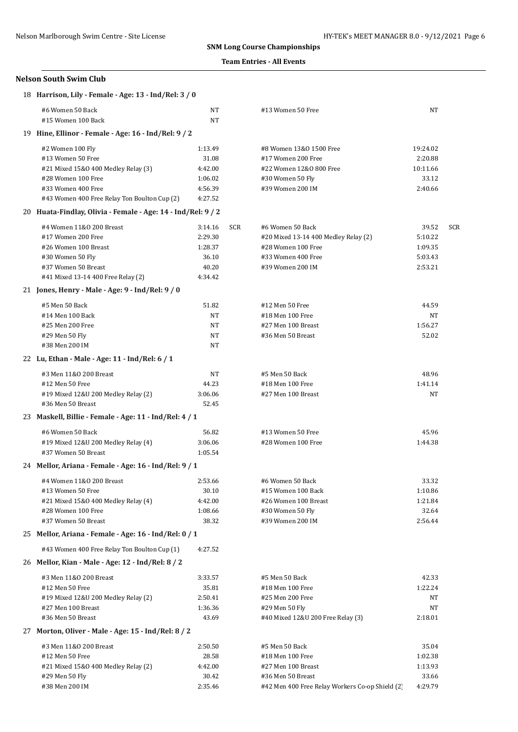### **Team Entries - All Events**

|    | 18 Harrison, Lily - Female - Age: 13 - Ind/Rel: 3 / 0                                                                                                   |                                                            |            |                                                                                                                          |                                                   |     |
|----|---------------------------------------------------------------------------------------------------------------------------------------------------------|------------------------------------------------------------|------------|--------------------------------------------------------------------------------------------------------------------------|---------------------------------------------------|-----|
|    | #6 Women 50 Back<br>#15 Women 100 Back                                                                                                                  | NT<br>NT                                                   |            | #13 Women 50 Free                                                                                                        | NT                                                |     |
|    | 19 Hine, Ellinor - Female - Age: 16 - Ind/Rel: 9 / 2                                                                                                    |                                                            |            |                                                                                                                          |                                                   |     |
|    | #2 Women 100 Fly<br>#13 Women 50 Free<br>#21 Mixed 15&0 400 Medley Relay (3)<br>#28 Women 100 Free                                                      | 1:13.49<br>31.08<br>4:42.00<br>1:06.02                     |            | #8 Women 13&0 1500 Free<br>#17 Women 200 Free<br>#22 Women 12&0 800 Free<br>#30 Women 50 Fly                             | 19:24.02<br>2:20.88<br>10:11.66<br>33.12          |     |
|    | #33 Women 400 Free<br>#43 Women 400 Free Relay Ton Boulton Cup (2)                                                                                      | 4:56.39<br>4:27.52                                         |            | #39 Women 200 IM                                                                                                         | 2:40.66                                           |     |
|    | 20 Huata-Findlay, Olivia - Female - Age: 14 - Ind/Rel: 9 / 2                                                                                            |                                                            |            |                                                                                                                          |                                                   |     |
|    | #4 Women 11&0 200 Breast<br>#17 Women 200 Free<br>#26 Women 100 Breast<br>#30 Women 50 Fly<br>#37 Women 50 Breast<br>#41 Mixed 13-14 400 Free Relay (2) | 3:14.16<br>2:29.30<br>1:28.37<br>36.10<br>40.20<br>4:34.42 | <b>SCR</b> | #6 Women 50 Back<br>#20 Mixed 13-14 400 Medley Relay (2)<br>#28 Women 100 Free<br>#33 Women 400 Free<br>#39 Women 200 IM | 39.52<br>5:10.22<br>1:09.35<br>5:03.43<br>2:53.21 | SCR |
|    | 21 Jones, Henry - Male - Age: 9 - Ind/Rel: 9 / 0                                                                                                        |                                                            |            |                                                                                                                          |                                                   |     |
|    | #5 Men 50 Back<br>#14 Men 100 Back<br>#25 Men 200 Free<br>#29 Men 50 Fly<br>#38 Men 200 IM                                                              | 51.82<br>NT<br>NT<br>NT<br>NT                              |            | #12 Men 50 Free<br>#18 Men 100 Free<br>#27 Men 100 Breast<br>#36 Men 50 Breast                                           | 44.59<br>NT<br>1:56.27<br>52.02                   |     |
|    | 22 Lu, Ethan - Male - Age: 11 - Ind/Rel: 6 / 1                                                                                                          |                                                            |            |                                                                                                                          |                                                   |     |
|    | #3 Men 11&0 200 Breast<br>#12 Men 50 Free<br>#19 Mixed 12&U 200 Medley Relay (2)<br>#36 Men 50 Breast                                                   | NT<br>44.23<br>3:06.06<br>52.45                            |            | #5 Men 50 Back<br>#18 Men 100 Free<br>#27 Men 100 Breast                                                                 | 48.96<br>1:41.14<br>NT                            |     |
|    | 23 Maskell, Billie - Female - Age: 11 - Ind/Rel: 4 / 1                                                                                                  |                                                            |            |                                                                                                                          |                                                   |     |
|    | #6 Women 50 Back<br>#19 Mixed 12&U 200 Medley Relay (4)<br>#37 Women 50 Breast                                                                          | 56.82<br>3:06.06<br>1:05.54                                |            | #13 Women 50 Free<br>#28 Women 100 Free                                                                                  | 45.96<br>1:44.38                                  |     |
|    | 24 Mellor, Ariana - Female - Age: 16 - Ind/Rel: 9 / 1                                                                                                   |                                                            |            |                                                                                                                          |                                                   |     |
|    | #4 Women 11&0 200 Breast<br>#13 Women 50 Free<br>#21 Mixed 15&0 400 Medley Relay (4)<br>#28 Women 100 Free<br>#37 Women 50 Breast                       | 2:53.66<br>30.10<br>4:42.00<br>1:08.66<br>38.32            |            | #6 Women 50 Back<br>#15 Women 100 Back<br>#26 Women 100 Breast<br>#30 Women 50 Fly<br>#39 Women 200 IM                   | 33.32<br>1:10.86<br>1:21.84<br>32.64<br>2:56.44   |     |
|    | 25 Mellor, Ariana - Female - Age: 16 - Ind/Rel: 0 / 1                                                                                                   |                                                            |            |                                                                                                                          |                                                   |     |
|    | #43 Women 400 Free Relay Ton Boulton Cup (1)<br>26 Mellor, Kian - Male - Age: 12 - Ind/Rel: 8 / 2                                                       | 4:27.52                                                    |            |                                                                                                                          |                                                   |     |
|    | #3 Men 11&0 200 Breast<br>#12 Men 50 Free<br>#19 Mixed 12&U 200 Medley Relay (2)<br>#27 Men 100 Breast<br>#36 Men 50 Breast                             | 3:33.57<br>35.81<br>2:50.41<br>1:36.36<br>43.69            |            | #5 Men 50 Back<br>#18 Men 100 Free<br>#25 Men 200 Free<br>#29 Men 50 Fly<br>#40 Mixed 12&U 200 Free Relay (3)            | 42.33<br>1:22.24<br>NT<br>NT<br>2:18.01           |     |
| 27 | Morton, Oliver - Male - Age: 15 - Ind/Rel: 8 / 2                                                                                                        |                                                            |            |                                                                                                                          |                                                   |     |
|    | #3 Men 11&0 200 Breast<br>#12 Men 50 Free<br>#21 Mixed 15&0 400 Medley Relay (2)<br>#29 Men 50 Fly                                                      | 2:50.50<br>28.58<br>4:42.00<br>30.42                       |            | #5 Men 50 Back<br>#18 Men 100 Free<br>#27 Men 100 Breast<br>#36 Men 50 Breast                                            | 35.04<br>1:02.38<br>1:13.93<br>33.66              |     |
|    | #38 Men 200 IM                                                                                                                                          | 2:35.46                                                    |            | #42 Men 400 Free Relay Workers Co-op Shield (2)                                                                          | 4:29.79                                           |     |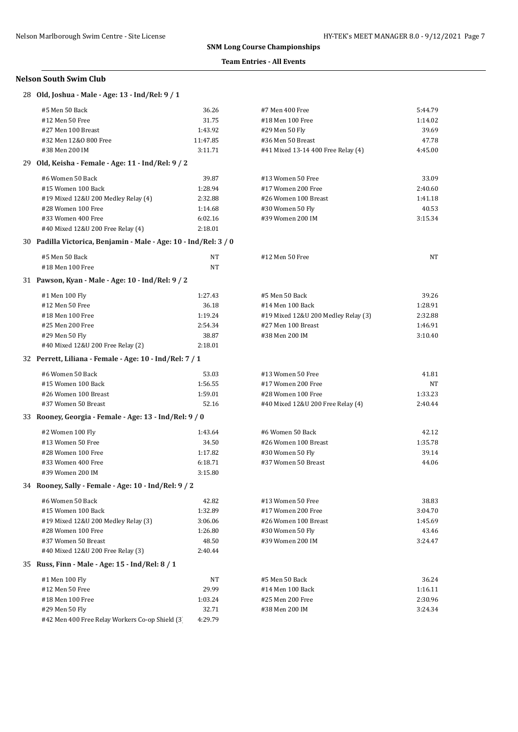#### **Team Entries - All Events**

| 28 Old, Joshua - Male - Age: 13 - Ind/Rel: 9 / 1                 |          |                                     |         |
|------------------------------------------------------------------|----------|-------------------------------------|---------|
| #5 Men 50 Back                                                   | 36.26    | #7 Men 400 Free                     | 5:44.79 |
| #12 Men 50 Free                                                  | 31.75    | #18 Men 100 Free                    | 1:14.02 |
| #27 Men 100 Breast                                               | 1:43.92  | #29 Men 50 Fly                      | 39.69   |
| #32 Men 12&0 800 Free                                            | 11:47.85 | #36 Men 50 Breast                   | 47.78   |
| #38 Men 200 IM                                                   | 3:11.71  | #41 Mixed 13-14 400 Free Relay (4)  | 4:45.00 |
| 29 Old, Keisha - Female - Age: 11 - Ind/Rel: 9 / 2               |          |                                     |         |
| #6 Women 50 Back                                                 | 39.87    | #13 Women 50 Free                   | 33.09   |
| #15 Women 100 Back                                               | 1:28.94  | #17 Women 200 Free                  | 2:40.60 |
| #19 Mixed 12&U 200 Medley Relay (4)                              | 2:32.88  | #26 Women 100 Breast                | 1:41.18 |
| #28 Women 100 Free                                               | 1:14.68  | #30 Women 50 Fly                    | 40.53   |
| #33 Women 400 Free                                               | 6:02.16  | #39 Women 200 IM                    | 3:15.34 |
| #40 Mixed 12&U 200 Free Relay (4)                                | 2:18.01  |                                     |         |
| 30 Padilla Victorica, Benjamin - Male - Age: 10 - Ind/Rel: 3 / 0 |          |                                     |         |
| #5 Men 50 Back                                                   | NT       | #12 Men 50 Free                     | NT      |
| #18 Men 100 Free                                                 | NT       |                                     |         |
| 31 Pawson, Kyan - Male - Age: 10 - Ind/Rel: 9 / 2                |          |                                     |         |
| #1 Men 100 Fly                                                   | 1:27.43  | #5 Men 50 Back                      | 39.26   |
| #12 Men 50 Free                                                  | 36.18    | #14 Men 100 Back                    | 1:28.91 |
| #18 Men 100 Free                                                 | 1:19.24  | #19 Mixed 12&U 200 Medley Relay (3) | 2:32.88 |
| #25 Men 200 Free                                                 | 2:54.34  | #27 Men 100 Breast                  | 1:46.91 |
| #29 Men 50 Fly                                                   | 38.87    | #38 Men 200 IM                      | 3:10.40 |
| #40 Mixed 12&U 200 Free Relay (2)                                | 2:18.01  |                                     |         |
| 32 Perrett, Liliana - Female - Age: 10 - Ind/Rel: 7 / 1          |          |                                     |         |
| #6 Women 50 Back                                                 | 53.03    | #13 Women 50 Free                   | 41.81   |
| #15 Women 100 Back                                               | 1:56.55  | #17 Women 200 Free                  | NT      |
| #26 Women 100 Breast                                             | 1:59.01  | #28 Women 100 Free                  | 1:33.23 |
| #37 Women 50 Breast                                              | 52.16    | #40 Mixed 12&U 200 Free Relay (4)   | 2:40.44 |
| 33 Rooney, Georgia - Female - Age: 13 - Ind/Rel: 9 / 0           |          |                                     |         |
| #2 Women 100 Fly                                                 | 1:43.64  | #6 Women 50 Back                    | 42.12   |
| #13 Women 50 Free                                                | 34.50    | #26 Women 100 Breast                | 1:35.78 |
| #28 Women 100 Free                                               | 1:17.82  | #30 Women 50 Fly                    | 39.14   |
| #33 Women 400 Free                                               | 6:18.71  | #37 Women 50 Breast                 | 44.06   |
| #39 Women 200 IM                                                 | 3:15.80  |                                     |         |
| 34 Rooney, Sally - Female - Age: 10 - Ind/Rel: 9 / 2             |          |                                     |         |
| #6 Women 50 Back                                                 | 42.82    | #13 Women 50 Free                   | 38.83   |
| #15 Women 100 Back                                               | 1:32.89  | #17 Women 200 Free                  | 3:04.70 |
| #19 Mixed 12&U 200 Medley Relay (3)                              | 3:06.06  | #26 Women 100 Breast                | 1:45.69 |
| #28 Women 100 Free                                               | 1:26.80  | #30 Women 50 Fly                    | 43.46   |
| #37 Women 50 Breast                                              | 48.50    | #39 Women 200 IM                    | 3:24.47 |
| #40 Mixed 12&U 200 Free Relay (3)                                | 2:40.44  |                                     |         |
| 35 Russ, Finn - Male - Age: 15 - Ind/Rel: 8 / 1                  |          |                                     |         |
| #1 Men 100 Fly                                                   | NT       | #5 Men 50 Back                      | 36.24   |
| #12 Men 50 Free                                                  | 29.99    | #14 Men 100 Back                    | 1:16.11 |
| #18 Men 100 Free                                                 | 1:03.24  | #25 Men 200 Free                    | 2:30.96 |
| #29 Men 50 Fly                                                   | 32.71    | #38 Men 200 IM                      | 3:24.34 |
| #42 Men 400 Free Relay Workers Co-op Shield (3)                  | 4:29.79  |                                     |         |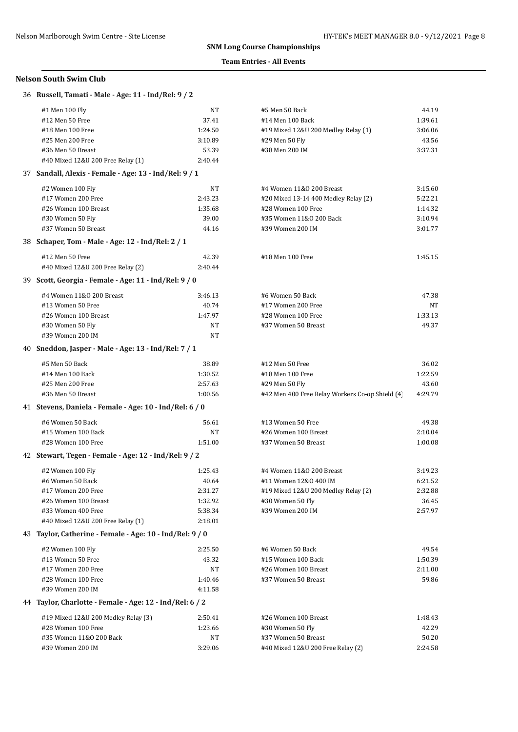## **Team Entries - All Events**

| 36 Russell, Tamati - Male - Age: 11 - Ind/Rel: 9 / 2     |           |                                                 |         |
|----------------------------------------------------------|-----------|-------------------------------------------------|---------|
| #1 Men 100 Fly                                           | NT        | #5 Men 50 Back                                  | 44.19   |
| #12 Men 50 Free                                          | 37.41     | #14 Men 100 Back                                | 1:39.61 |
| #18 Men 100 Free                                         | 1:24.50   | #19 Mixed 12&U 200 Medley Relay (1)             | 3:06.06 |
| #25 Men 200 Free                                         | 3:10.89   | #29 Men 50 Fly                                  | 43.56   |
| #36 Men 50 Breast                                        | 53.39     | #38 Men 200 IM                                  | 3:37.31 |
| #40 Mixed 12&U 200 Free Relay (1)                        | 2:40.44   |                                                 |         |
| 37 Sandall, Alexis - Female - Age: 13 - Ind/Rel: 9 / 1   |           |                                                 |         |
| #2 Women 100 Fly                                         | NT        | #4 Women 11&0 200 Breast                        | 3:15.60 |
| #17 Women 200 Free                                       | 2:43.23   | #20 Mixed 13-14 400 Medley Relay (2)            | 5:22.21 |
| #26 Women 100 Breast                                     | 1:35.68   | #28 Women 100 Free                              | 1:14.32 |
| #30 Women 50 Fly                                         | 39.00     | #35 Women 11&0 200 Back                         | 3:10.94 |
| #37 Women 50 Breast                                      | 44.16     | #39 Women 200 IM                                | 3:01.77 |
| 38 Schaper, Tom - Male - Age: 12 - Ind/Rel: 2 / 1        |           |                                                 |         |
| #12 Men 50 Free                                          | 42.39     | #18 Men 100 Free                                | 1:45.15 |
| #40 Mixed 12&U 200 Free Relay (2)                        | 2:40.44   |                                                 |         |
| 39 Scott, Georgia - Female - Age: 11 - Ind/Rel: 9 / 0    |           |                                                 |         |
| #4 Women 11&0 200 Breast                                 | 3:46.13   | #6 Women 50 Back                                | 47.38   |
| #13 Women 50 Free                                        | 40.74     | #17 Women 200 Free                              | NT      |
| #26 Women 100 Breast                                     | 1:47.97   | #28 Women 100 Free                              | 1:33.13 |
| #30 Women 50 Fly                                         | NT        | #37 Women 50 Breast                             | 49.37   |
| #39 Women 200 IM                                         | <b>NT</b> |                                                 |         |
| 40 Sneddon, Jasper - Male - Age: 13 - Ind/Rel: 7 / 1     |           |                                                 |         |
| #5 Men 50 Back                                           | 38.89     | #12 Men 50 Free                                 | 36.02   |
| #14 Men 100 Back                                         | 1:30.52   | #18 Men 100 Free                                | 1:22.59 |
| #25 Men 200 Free                                         | 2:57.63   | #29 Men 50 Fly                                  | 43.60   |
| #36 Men 50 Breast                                        | 1:00.56   | #42 Men 400 Free Relay Workers Co-op Shield (4) | 4:29.79 |
| 41 Stevens, Daniela - Female - Age: 10 - Ind/Rel: 6 / 0  |           |                                                 |         |
| #6 Women 50 Back                                         | 56.61     | #13 Women 50 Free                               | 49.38   |
| #15 Women 100 Back                                       | NT        | #26 Women 100 Breast                            | 2:10.04 |
| #28 Women 100 Free                                       | 1:51.00   | #37 Women 50 Breast                             | 1:00.08 |
| 42 Stewart, Tegen - Female - Age: 12 - Ind/Rel: 9 / 2    |           |                                                 |         |
| #2 Women 100 Fly                                         | 1:25.43   | #4 Women 11&0 200 Breast                        | 3:19.23 |
| #6 Women 50 Back                                         | 40.64     | #11 Women 12&0 400 IM                           | 6:21.52 |
| #17 Women 200 Free                                       | 2:31.27   | #19 Mixed 12&U 200 Medley Relay (2)             | 2:32.88 |
| #26 Women 100 Breast                                     | 1:32.92   | #30 Women 50 Fly                                | 36.45   |
| #33 Women 400 Free                                       | 5:38.34   | #39 Women 200 IM                                | 2:57.97 |
| #40 Mixed 12&U 200 Free Relay (1)                        | 2:18.01   |                                                 |         |
| 43 Taylor, Catherine - Female - Age: 10 - Ind/Rel: 9 / 0 |           |                                                 |         |
| #2 Women 100 Fly                                         | 2:25.50   | #6 Women 50 Back                                | 49.54   |
| #13 Women 50 Free                                        | 43.32     | #15 Women 100 Back                              | 1:50.39 |
| #17 Women 200 Free                                       | NT        | #26 Women 100 Breast                            | 2:11.00 |
| #28 Women 100 Free                                       | 1:40.46   | #37 Women 50 Breast                             | 59.86   |
| #39 Women 200 IM                                         | 4:11.58   |                                                 |         |
| 44 Taylor, Charlotte - Female - Age: 12 - Ind/Rel: 6 / 2 |           |                                                 |         |
| #19 Mixed 12&U 200 Medley Relay (3)                      | 2:50.41   | #26 Women 100 Breast                            | 1:48.43 |
| #28 Women 100 Free                                       | 1:23.66   | #30 Women 50 Fly                                | 42.29   |
| #35 Women 11&0 200 Back                                  | NT        | #37 Women 50 Breast                             | 50.20   |
| #39 Women 200 IM                                         | 3:29.06   | #40 Mixed 12&U 200 Free Relay (2)               | 2:24.58 |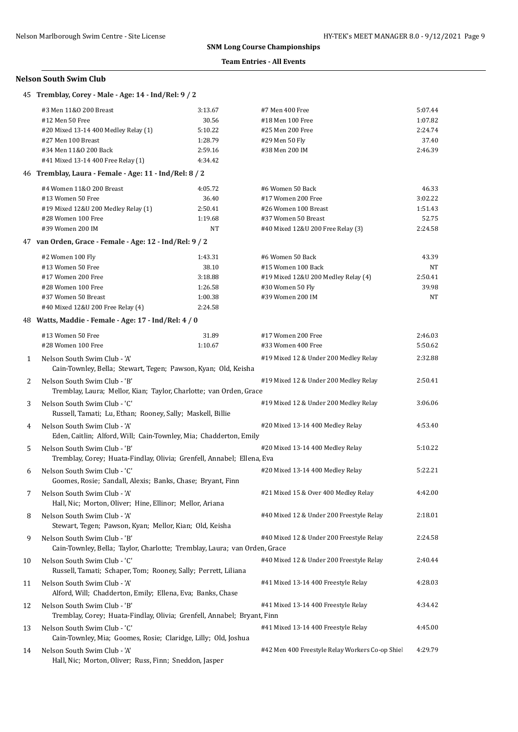#### **Team Entries - All Events**

|    | 45 Tremblay, Corey - Male - Age: 14 - Ind/Rel: 9 / 2                                                                                                                   |                                                              |                                                                                                                            |                                                   |
|----|------------------------------------------------------------------------------------------------------------------------------------------------------------------------|--------------------------------------------------------------|----------------------------------------------------------------------------------------------------------------------------|---------------------------------------------------|
|    | #3 Men 11&0 200 Breast<br>#12 Men 50 Free<br>#20 Mixed 13-14 400 Medley Relay (1)<br>#27 Men 100 Breast<br>#34 Men 11&0 200 Back<br>#41 Mixed 13-14 400 Free Relay (1) | 3:13.67<br>30.56<br>5:10.22<br>1:28.79<br>2:59.16<br>4:34.42 | #7 Men 400 Free<br>#18 Men 100 Free<br>#25 Men 200 Free<br>#29 Men 50 Fly<br>#38 Men 200 IM                                | 5:07.44<br>1:07.82<br>2:24.74<br>37.40<br>2:46.39 |
|    | 46 Tremblay, Laura - Female - Age: 11 - Ind/Rel: 8 / 2                                                                                                                 |                                                              |                                                                                                                            |                                                   |
|    | #4 Women 11&0 200 Breast<br>#13 Women 50 Free<br>#19 Mixed 12&U 200 Medley Relay (1)<br>#28 Women 100 Free<br>#39 Women 200 IM                                         | 4:05.72<br>36.40<br>2:50.41<br>1:19.68<br>NT                 | #6 Women 50 Back<br>#17 Women 200 Free<br>#26 Women 100 Breast<br>#37 Women 50 Breast<br>#40 Mixed 12&U 200 Free Relay (3) | 46.33<br>3:02.22<br>1:51.43<br>52.75<br>2:24.58   |
|    | 47 van Orden, Grace - Female - Age: 12 - Ind/Rel: 9 / 2                                                                                                                |                                                              |                                                                                                                            |                                                   |
|    | #2 Women 100 Fly<br>#13 Women 50 Free<br>#17 Women 200 Free<br>#28 Women 100 Free<br>#37 Women 50 Breast<br>#40 Mixed 12&U 200 Free Relay (4)                          | 1:43.31<br>38.10<br>3:18.88<br>1:26.58<br>1:00.38<br>2:24.58 | #6 Women 50 Back<br>#15 Women 100 Back<br>#19 Mixed 12&U 200 Medley Relay (4)<br>#30 Women 50 Fly<br>#39 Women 200 IM      | 43.39<br>NT<br>2:50.41<br>39.98<br>NT             |
|    | 48 Watts, Maddie - Female - Age: 17 - Ind/Rel: 4 / 0                                                                                                                   |                                                              |                                                                                                                            |                                                   |
| 1  | #13 Women 50 Free<br>#28 Women 100 Free<br>Nelson South Swim Club - 'A'                                                                                                | 31.89<br>1:10.67                                             | #17 Women 200 Free<br>#33 Women 400 Free<br>#19 Mixed 12 & Under 200 Medley Relay                                          | 2:46.03<br>5:50.62<br>2:32.88                     |
|    | Cain-Townley, Bella; Stewart, Tegen; Pawson, Kyan; Old, Keisha                                                                                                         |                                                              |                                                                                                                            |                                                   |
| 2  | Nelson South Swim Club - 'B'<br>Tremblay, Laura; Mellor, Kian; Taylor, Charlotte; van Orden, Grace                                                                     |                                                              | #19 Mixed 12 & Under 200 Medley Relay                                                                                      | 2:50.41                                           |
| 3  | Nelson South Swim Club - 'C'<br>Russell, Tamati; Lu, Ethan; Rooney, Sally; Maskell, Billie                                                                             |                                                              | #19 Mixed 12 & Under 200 Medley Relay                                                                                      | 3:06.06                                           |
| 4  | Nelson South Swim Club - 'A'<br>Eden, Caitlin; Alford, Will; Cain-Townley, Mia; Chadderton, Emily                                                                      |                                                              | #20 Mixed 13-14 400 Medley Relay                                                                                           | 4:53.40                                           |
| 5  | Nelson South Swim Club - 'B'<br>Tremblay, Corey; Huata-Findlay, Olivia; Grenfell, Annabel; Ellena, Eva                                                                 |                                                              | #20 Mixed 13-14 400 Medley Relay                                                                                           | 5:10.22                                           |
| 6  | Nelson South Swim Club - 'C'<br>Goomes, Rosie; Sandall, Alexis; Banks, Chase; Bryant, Finn                                                                             |                                                              | #20 Mixed 13-14 400 Medley Relay                                                                                           | 5:22.21                                           |
| 7  | Nelson South Swim Club - 'A'<br>Hall, Nic; Morton, Oliver; Hine, Ellinor; Mellor, Ariana                                                                               |                                                              | #21 Mixed 15 & Over 400 Medley Relay                                                                                       | 4:42.00                                           |
| 8  | Nelson South Swim Club - 'A'<br>Stewart, Tegen; Pawson, Kyan; Mellor, Kian; Old, Keisha                                                                                |                                                              | #40 Mixed 12 & Under 200 Freestyle Relay                                                                                   | 2:18.01                                           |
| 9  | Nelson South Swim Club - 'B'<br>Cain-Townley, Bella; Taylor, Charlotte; Tremblay, Laura; van Orden, Grace                                                              |                                                              | #40 Mixed 12 & Under 200 Freestyle Relay                                                                                   | 2:24.58                                           |
| 10 | Nelson South Swim Club - 'C'<br>Russell, Tamati; Schaper, Tom; Rooney, Sally; Perrett, Liliana                                                                         |                                                              | #40 Mixed 12 & Under 200 Freestyle Relay                                                                                   | 2:40.44                                           |
| 11 | Nelson South Swim Club - 'A'<br>Alford, Will; Chadderton, Emily; Ellena, Eva; Banks, Chase                                                                             |                                                              | #41 Mixed 13-14 400 Freestyle Relay                                                                                        | 4:28.03                                           |
| 12 | Nelson South Swim Club - 'B'<br>Tremblay, Corey; Huata-Findlay, Olivia; Grenfell, Annabel; Bryant, Finn                                                                |                                                              | #41 Mixed 13-14 400 Freestyle Relay                                                                                        | 4:34.42                                           |
| 13 | Nelson South Swim Club - 'C'<br>Cain-Townley, Mia; Goomes, Rosie; Claridge, Lilly; Old, Joshua                                                                         |                                                              | #41 Mixed 13-14 400 Freestyle Relay                                                                                        | 4:45.00                                           |
| 14 | Nelson South Swim Club - 'A'<br>Hall, Nic; Morton, Oliver; Russ, Finn; Sneddon, Jasper                                                                                 |                                                              | #42 Men 400 Freestyle Relay Workers Co-op Shie                                                                             | 4:29.79                                           |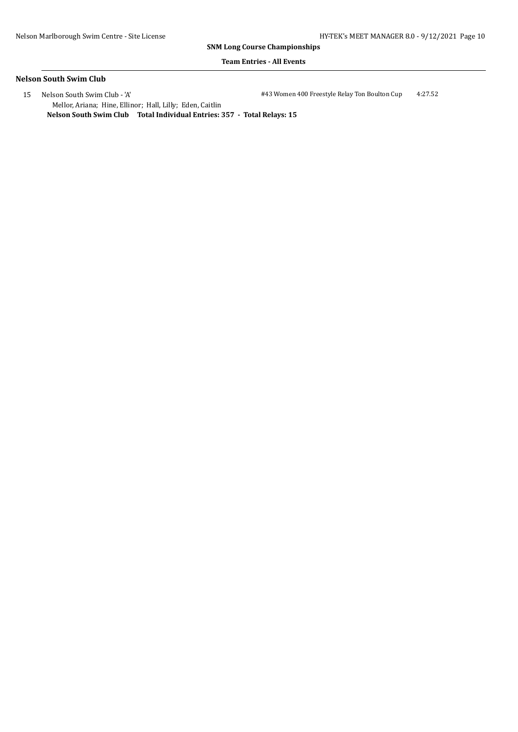#### **Team Entries - All Events**

### **Nelson South Swim Club**

 15 Nelson South Swim Club - 'A' #43 Women 400 Freestyle Relay Ton Boulton Cup 4:27.52 Mellor, Ariana; Hine, Ellinor; Hall, Lilly; Eden, Caitlin **Nelson South Swim Club Total Individual Entries: 357 - Total Relays: 15**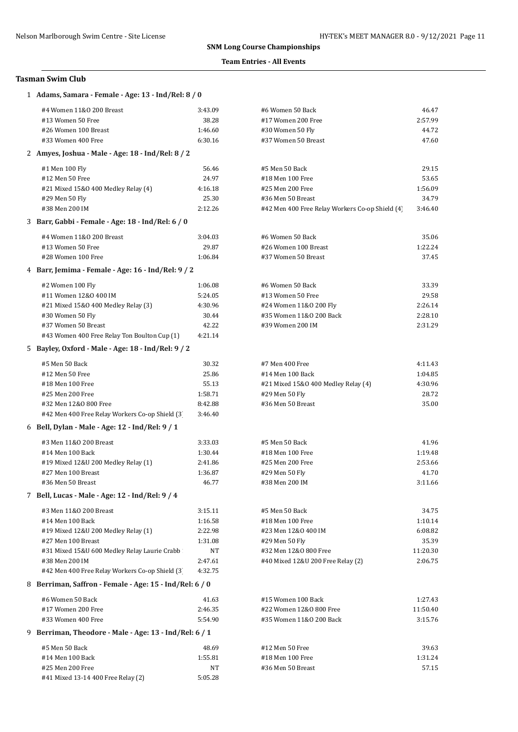## **Team Entries - All Events**

| 1 Adams, Samara - Female - Age: 13 - Ind/Rel: 8 / 0     |         |                                                 |          |
|---------------------------------------------------------|---------|-------------------------------------------------|----------|
| #4 Women 11&0 200 Breast                                | 3:43.09 | #6 Women 50 Back                                | 46.47    |
| #13 Women 50 Free                                       | 38.28   | #17 Women 200 Free                              | 2:57.99  |
| #26 Women 100 Breast                                    | 1:46.60 | #30 Women 50 Fly                                | 44.72    |
| #33 Women 400 Free                                      | 6:30.16 | #37 Women 50 Breast                             | 47.60    |
| 2 Amyes, Joshua - Male - Age: 18 - Ind/Rel: 8 / 2       |         |                                                 |          |
| #1 Men 100 Fly                                          | 56.46   | #5 Men 50 Back                                  | 29.15    |
| #12 Men 50 Free                                         | 24.97   | #18 Men 100 Free                                | 53.65    |
| #21 Mixed 15&0 400 Medley Relay (4)                     | 4:16.18 | #25 Men 200 Free                                | 1:56.09  |
| #29 Men 50 Fly                                          | 25.30   | #36 Men 50 Breast                               | 34.79    |
| #38 Men 200 IM                                          | 2:12.26 | #42 Men 400 Free Relay Workers Co-op Shield (4) | 3:46.40  |
| 3 Barr, Gabbi - Female - Age: 18 - Ind/Rel: 6 / 0       |         |                                                 |          |
| #4 Women 11&0 200 Breast                                | 3:04.03 | #6 Women 50 Back                                | 35.06    |
| #13 Women 50 Free                                       | 29.87   | #26 Women 100 Breast                            | 1:22.24  |
| #28 Women 100 Free                                      | 1:06.84 | #37 Women 50 Breast                             | 37.45    |
| 4 Barr, Jemima - Female - Age: 16 - Ind/Rel: 9 / 2      |         |                                                 |          |
| #2 Women 100 Fly                                        | 1:06.08 | #6 Women 50 Back                                | 33.39    |
| #11 Women 12&0 400 IM                                   | 5:24.05 | #13 Women 50 Free                               | 29.58    |
| #21 Mixed 15&0 400 Medley Relay (3)                     | 4:30.96 | #24 Women 11&0 200 Fly                          | 2:26.14  |
| #30 Women 50 Fly                                        | 30.44   | #35 Women 11&0 200 Back                         | 2:28.10  |
| #37 Women 50 Breast                                     | 42.22   | #39 Women 200 IM                                | 2:31.29  |
| #43 Women 400 Free Relay Ton Boulton Cup (1)            | 4:21.14 |                                                 |          |
| 5 Bayley, Oxford - Male - Age: 18 - Ind/Rel: 9 / 2      |         |                                                 |          |
| #5 Men 50 Back                                          | 30.32   | #7 Men 400 Free                                 | 4:11.43  |
| #12 Men 50 Free                                         | 25.86   | #14 Men 100 Back                                | 1:04.85  |
| #18 Men 100 Free                                        | 55.13   | #21 Mixed 15&0 400 Medley Relay (4)             | 4:30.96  |
| #25 Men 200 Free                                        | 1:58.71 | #29 Men 50 Fly                                  | 28.72    |
| #32 Men 12&0 800 Free                                   | 8:42.88 | #36 Men 50 Breast                               | 35.00    |
| #42 Men 400 Free Relay Workers Co-op Shield (3)         | 3:46.40 |                                                 |          |
| 6 Bell, Dylan - Male - Age: 12 - Ind/Rel: 9 / 1         |         |                                                 |          |
| #3 Men 11&0 200 Breast                                  | 3:33.03 | #5 Men 50 Back                                  | 41.96    |
| #14 Men 100 Back                                        | 1:30.44 | #18 Men 100 Free                                | 1:19.48  |
| #19 Mixed 12&U 200 Medley Relay (1)                     | 2:41.86 | #25 Men 200 Free                                | 2:53.66  |
| #27 Men 100 Breast                                      | 1:36.87 | #29 Men 50 Fly                                  | 41.70    |
| #36 Men 50 Breast                                       | 46.77   | #38 Men 200 IM                                  | 3:11.66  |
| 7 Bell, Lucas - Male - Age: 12 - Ind/Rel: 9 / 4         |         |                                                 |          |
| #3 Men 11&0 200 Breast                                  | 3:15.11 | #5 Men 50 Back                                  | 34.75    |
| #14 Men 100 Back                                        | 1:16.58 | #18 Men 100 Free                                | 1:10.14  |
| #19 Mixed 12&U 200 Medley Relay (1)                     | 2:22.98 | #23 Men 12&0 400 IM                             | 6:08.82  |
| #27 Men 100 Breast                                      | 1:31.08 | #29 Men 50 Fly                                  | 35.39    |
| #31 Mixed 15&U 600 Medley Relay Laurie Crabb            | NT      | #32 Men 12&0 800 Free                           | 11:20.30 |
| #38 Men 200 IM                                          | 2:47.61 | #40 Mixed 12&U 200 Free Relay (2)               | 2:06.75  |
| #42 Men 400 Free Relay Workers Co-op Shield (3)         | 4:32.75 |                                                 |          |
| 8 Berriman, Saffron - Female - Age: 15 - Ind/Rel: 6 / 0 |         |                                                 |          |
| #6 Women 50 Back                                        | 41.63   | #15 Women 100 Back                              | 1:27.43  |
| #17 Women 200 Free                                      | 2:46.35 | #22 Women 12&0 800 Free                         | 11:50.40 |
| #33 Women 400 Free                                      | 5:54.90 | #35 Women 11&0 200 Back                         | 3:15.76  |
| 9 Berriman, Theodore - Male - Age: 13 - Ind/Rel: 6 / 1  |         |                                                 |          |
| #5 Men 50 Back                                          | 48.69   | #12 Men 50 Free                                 | 39.63    |
| #14 Men 100 Back                                        | 1:55.81 | #18 Men 100 Free                                | 1:31.24  |
| #25 Men 200 Free                                        | NT      | #36 Men 50 Breast                               | 57.15    |
| #41 Mixed 13-14 400 Free Relay (2)                      | 5:05.28 |                                                 |          |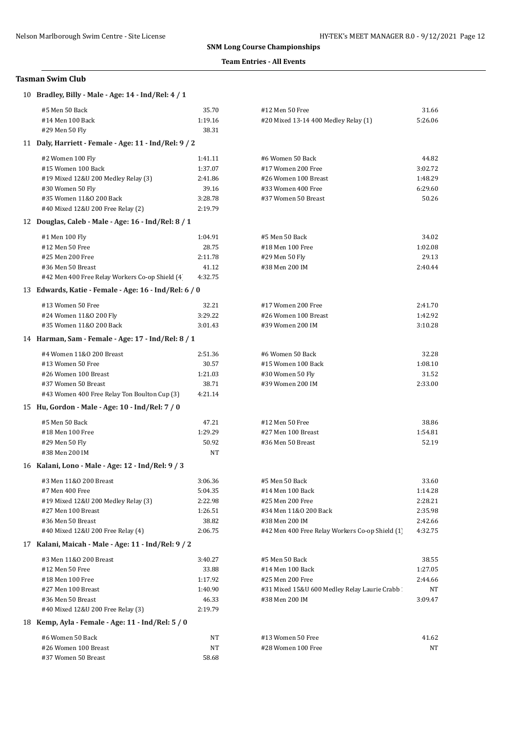### **Team Entries - All Events**

| 10 Bradley, Billy - Male - Age: 14 - Ind/Rel: 4 / 1                     |                    |                                                 |                    |
|-------------------------------------------------------------------------|--------------------|-------------------------------------------------|--------------------|
| #5 Men 50 Back                                                          | 35.70              | #12 Men 50 Free                                 | 31.66              |
| #14 Men 100 Back                                                        | 1:19.16            | #20 Mixed 13-14 400 Medley Relay (1)            | 5:26.06            |
| #29 Men 50 Fly<br>11 Daly, Harriett - Female - Age: 11 - Ind/Rel: 9 / 2 | 38.31              |                                                 |                    |
|                                                                         |                    |                                                 |                    |
| #2 Women 100 Fly                                                        | 1:41.11            | #6 Women 50 Back                                | 44.82              |
| #15 Women 100 Back                                                      | 1:37.07            | #17 Women 200 Free                              | 3:02.72            |
| #19 Mixed 12&U 200 Medley Relay (3)                                     | 2:41.86            | #26 Women 100 Breast                            | 1:48.29            |
| #30 Women 50 Fly<br>#35 Women 11&0 200 Back                             | 39.16              | #33 Women 400 Free                              | 6:29.60            |
| #40 Mixed 12&U 200 Free Relay (2)                                       | 3:28.78<br>2:19.79 | #37 Women 50 Breast                             | 50.26              |
| 12 Douglas, Caleb - Male - Age: 16 - Ind/Rel: 8 / 1                     |                    |                                                 |                    |
|                                                                         |                    |                                                 |                    |
| #1 Men 100 Fly                                                          | 1:04.91            | #5 Men 50 Back                                  | 34.02              |
| #12 Men 50 Free                                                         | 28.75              | #18 Men 100 Free                                | 1:02.08            |
| #25 Men 200 Free<br>#36 Men 50 Breast                                   | 2:11.78<br>41.12   | #29 Men 50 Fly<br>#38 Men 200 IM                | 29.13<br>2:40.44   |
| #42 Men 400 Free Relay Workers Co-op Shield (4)                         | 4:32.75            |                                                 |                    |
| 13 Edwards, Katie - Female - Age: 16 - Ind/Rel: 6 / 0                   |                    |                                                 |                    |
|                                                                         |                    |                                                 |                    |
| #13 Women 50 Free<br>#24 Women 11&0 200 Fly                             | 32.21<br>3:29.22   | #17 Women 200 Free<br>#26 Women 100 Breast      | 2:41.70<br>1:42.92 |
| #35 Women 11&0 200 Back                                                 | 3:01.43            | #39 Women 200 IM                                | 3:10.28            |
| 14 Harman, Sam - Female - Age: 17 - Ind/Rel: 8 / 1                      |                    |                                                 |                    |
|                                                                         |                    |                                                 |                    |
| #4 Women 11&0 200 Breast<br>#13 Women 50 Free                           | 2:51.36<br>30.57   | #6 Women 50 Back<br>#15 Women 100 Back          | 32.28<br>1:08.10   |
| #26 Women 100 Breast                                                    | 1:21.03            | #30 Women 50 Fly                                | 31.52              |
| #37 Women 50 Breast                                                     | 38.71              | #39 Women 200 IM                                | 2:33.00            |
| #43 Women 400 Free Relay Ton Boulton Cup (3)                            | 4:21.14            |                                                 |                    |
| 15 Hu, Gordon - Male - Age: 10 - Ind/Rel: 7 / 0                         |                    |                                                 |                    |
| #5 Men 50 Back                                                          | 47.21              | #12 Men 50 Free                                 | 38.86              |
| #18 Men 100 Free                                                        | 1:29.29            | #27 Men 100 Breast                              | 1:54.81            |
| #29 Men 50 Fly                                                          | 50.92              | #36 Men 50 Breast                               | 52.19              |
| #38 Men 200 IM                                                          | NT                 |                                                 |                    |
| 16 Kalani, Lono - Male - Age: 12 - Ind/Rel: 9 / 3                       |                    |                                                 |                    |
| #3 Men 11&0 200 Breast                                                  | 3:06.36            | #5 Men 50 Back                                  | 33.60              |
| #7 Men 400 Free                                                         | 5:04.35            | #14 Men 100 Back                                | 1:14.28            |
| #19 Mixed 12&U 200 Medley Relay (3)                                     | 2:22.98            | #25 Men 200 Free                                | 2:28.21            |
| #27 Men 100 Breast                                                      | 1:26.51            | #34 Men 11&0 200 Back                           | 2:35.98            |
| #36 Men 50 Breast                                                       | 38.82              | #38 Men 200 IM                                  | 2:42.66            |
| #40 Mixed 12&U 200 Free Relay (4)                                       | 2:06.75            | #42 Men 400 Free Relay Workers Co-op Shield (1) | 4:32.75            |
| 17 Kalani, Maicah - Male - Age: 11 - Ind/Rel: 9 / 2                     |                    |                                                 |                    |
| #3 Men 11&0 200 Breast                                                  | 3:40.27            | #5 Men 50 Back                                  | 38.55              |
| #12 Men 50 Free                                                         | 33.88              | #14 Men 100 Back                                | 1:27.05            |
| #18 Men 100 Free                                                        | 1:17.92            | #25 Men 200 Free                                | 2:44.66            |
| #27 Men 100 Breast                                                      | 1:40.90            | #31 Mixed 15&U 600 Medley Relay Laurie Crabb    | NT                 |
| #36 Men 50 Breast                                                       | 46.33              | #38 Men 200 IM                                  | 3:09.47            |
| #40 Mixed 12&U 200 Free Relay (3)                                       | 2:19.79            |                                                 |                    |
| 18 Kemp, Ayla - Female - Age: 11 - Ind/Rel: 5 / 0                       |                    |                                                 |                    |
| #6 Women 50 Back                                                        | NT                 | #13 Women 50 Free                               | 41.62              |
| #26 Women 100 Breast<br>#37 Women 50 Breast                             | NT<br>58.68        | #28 Women 100 Free                              | NT                 |
|                                                                         |                    |                                                 |                    |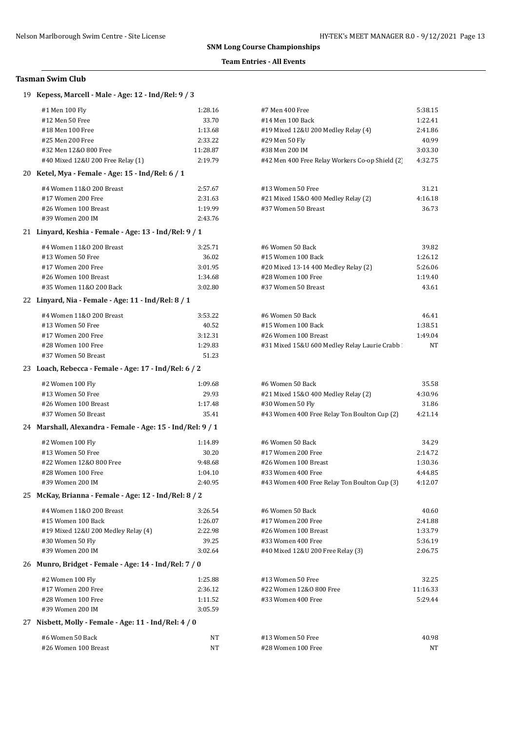## **Team Entries - All Events**

| 19 Kepess, Marcell - Male - Age: 12 - Ind/Rel: 9 / 3       |          |                                                 |          |
|------------------------------------------------------------|----------|-------------------------------------------------|----------|
| #1 Men 100 Fly                                             | 1:28.16  | #7 Men 400 Free                                 | 5:38.15  |
| #12 Men 50 Free                                            | 33.70    | #14 Men 100 Back                                | 1:22.41  |
| #18 Men 100 Free                                           | 1:13.68  | #19 Mixed 12&U 200 Medley Relay (4)             | 2:41.86  |
| #25 Men 200 Free                                           | 2:33.22  | #29 Men 50 Fly                                  | 40.99    |
| #32 Men 12&0 800 Free                                      | 11:28.87 | #38 Men 200 IM                                  | 3:03.30  |
| #40 Mixed 12&U 200 Free Relay (1)                          | 2:19.79  | #42 Men 400 Free Relay Workers Co-op Shield (2) | 4:32.75  |
| 20 Ketel, Mya - Female - Age: 15 - Ind/Rel: 6 / 1          |          |                                                 |          |
| #4 Women 11&0 200 Breast                                   | 2:57.67  | #13 Women 50 Free                               | 31.21    |
| #17 Women 200 Free                                         | 2:31.63  | #21 Mixed 15&0 400 Medley Relay (2)             | 4:16.18  |
| #26 Women 100 Breast                                       | 1:19.99  | #37 Women 50 Breast                             | 36.73    |
| #39 Women 200 IM                                           | 2:43.76  |                                                 |          |
| 21 Linyard, Keshia - Female - Age: 13 - Ind/Rel: 9 / 1     |          |                                                 |          |
| #4 Women 11&0 200 Breast                                   | 3:25.71  | #6 Women 50 Back                                | 39.82    |
| #13 Women 50 Free                                          | 36.02    | #15 Women 100 Back                              | 1:26.12  |
| #17 Women 200 Free                                         | 3:01.95  | #20 Mixed 13-14 400 Medley Relay (2)            | 5:26.06  |
| #26 Women 100 Breast                                       | 1:34.68  | #28 Women 100 Free                              | 1:19.40  |
| #35 Women 11&0 200 Back                                    | 3:02.80  | #37 Women 50 Breast                             | 43.61    |
| 22 Linyard, Nia - Female - Age: 11 - Ind/Rel: 8 / 1        |          |                                                 |          |
| #4 Women 11&0 200 Breast                                   | 3:53.22  | #6 Women 50 Back                                | 46.41    |
| #13 Women 50 Free                                          | 40.52    | #15 Women 100 Back                              | 1:38.51  |
| #17 Women 200 Free                                         | 3:12.31  | #26 Women 100 Breast                            | 1:49.04  |
| #28 Women 100 Free                                         | 1:29.83  | #31 Mixed 15&U 600 Medley Relay Laurie Crabb    | ΝT       |
| #37 Women 50 Breast                                        | 51.23    |                                                 |          |
| 23 Loach, Rebecca - Female - Age: 17 - Ind/Rel: 6 / 2      |          |                                                 |          |
| #2 Women 100 Fly                                           | 1:09.68  | #6 Women 50 Back                                | 35.58    |
| #13 Women 50 Free                                          | 29.93    | #21 Mixed 15&0 400 Medley Relay (2)             | 4:30.96  |
| #26 Women 100 Breast                                       | 1:17.48  | #30 Women 50 Fly                                | 31.86    |
| #37 Women 50 Breast                                        | 35.41    | #43 Women 400 Free Relay Ton Boulton Cup (2)    | 4:21.14  |
| 24 Marshall, Alexandra - Female - Age: 15 - Ind/Rel: 9 / 1 |          |                                                 |          |
| #2 Women 100 Fly                                           | 1:14.89  | #6 Women 50 Back                                | 34.29    |
| #13 Women 50 Free                                          | 30.20    | #17 Women 200 Free                              | 2:14.72  |
| #22 Women 12&0 800 Free                                    | 9:48.68  | #26 Women 100 Breast                            | 1:30.36  |
| #28 Women 100 Free                                         | 1:04.10  | #33 Women 400 Free                              | 4:44.85  |
| #39 Women 200 IM                                           | 2:40.95  | #43 Women 400 Free Relay Ton Boulton Cup (3)    | 4:12.07  |
| 25 McKay, Brianna - Female - Age: 12 - Ind/Rel: 8 / 2      |          |                                                 |          |
| #4 Women 11&0 200 Breast                                   | 3:26.54  | #6 Women 50 Back                                | 40.60    |
| #15 Women 100 Back                                         | 1:26.07  | #17 Women 200 Free                              | 2:41.88  |
| #19 Mixed 12&U 200 Medley Relay (4)                        | 2:22.98  | #26 Women 100 Breast                            | 1:33.79  |
| #30 Women 50 Fly                                           | 39.25    | #33 Women 400 Free                              | 5:36.19  |
| #39 Women 200 IM                                           | 3:02.64  | #40 Mixed 12&U 200 Free Relay (3)               | 2:06.75  |
| 26 Munro, Bridget - Female - Age: 14 - Ind/Rel: 7 / 0      |          |                                                 |          |
| #2 Women 100 Fly                                           | 1:25.88  | #13 Women 50 Free                               | 32.25    |
| #17 Women 200 Free                                         | 2:36.12  | #22 Women 12&0 800 Free                         | 11:16.33 |
| #28 Women 100 Free                                         | 1:11.52  | #33 Women 400 Free                              | 5:29.44  |
| #39 Women 200 IM                                           | 3:05.59  |                                                 |          |
| 27 Nisbett, Molly - Female - Age: 11 - Ind/Rel: 4 / 0      |          |                                                 |          |
| #6 Women 50 Back                                           | NT       | #13 Women 50 Free                               | 40.98    |
| #26 Women 100 Breast                                       | NT       | #28 Women 100 Free                              | ΝT       |
|                                                            |          |                                                 |          |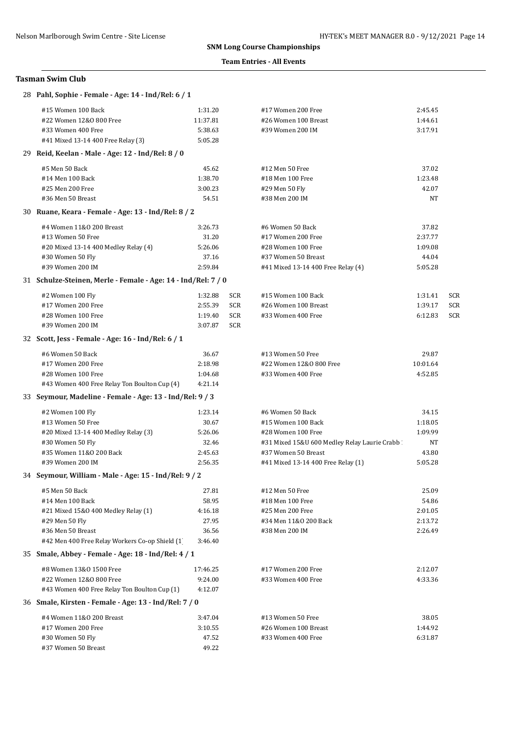## **Team Entries - All Events**

| 28 Pahl, Sophie - Female - Age: 14 - Ind/Rel: 6 / 1           |          |     |                                              |          |     |
|---------------------------------------------------------------|----------|-----|----------------------------------------------|----------|-----|
| #15 Women 100 Back                                            | 1:31.20  |     | #17 Women 200 Free                           | 2:45.45  |     |
| #22 Women 12&0 800 Free                                       | 11:37.81 |     | #26 Women 100 Breast                         | 1:44.61  |     |
| #33 Women 400 Free                                            | 5:38.63  |     | #39 Women 200 IM                             | 3:17.91  |     |
| #41 Mixed 13-14 400 Free Relay (3)                            | 5:05.28  |     |                                              |          |     |
| 29 Reid, Keelan - Male - Age: 12 - Ind/Rel: 8 / 0             |          |     |                                              |          |     |
| #5 Men 50 Back                                                | 45.62    |     | #12 Men 50 Free                              | 37.02    |     |
| #14 Men 100 Back                                              | 1:38.70  |     | #18 Men 100 Free                             | 1:23.48  |     |
| #25 Men 200 Free                                              | 3:00.23  |     | #29 Men 50 Fly                               | 42.07    |     |
| #36 Men 50 Breast                                             | 54.51    |     | #38 Men 200 IM                               | NT       |     |
| 30 Ruane, Keara - Female - Age: 13 - Ind/Rel: 8 / 2           |          |     |                                              |          |     |
| #4 Women 11&0 200 Breast                                      | 3:26.73  |     | #6 Women 50 Back                             | 37.82    |     |
| #13 Women 50 Free                                             | 31.20    |     | #17 Women 200 Free                           | 2:37.77  |     |
| #20 Mixed 13-14 400 Medley Relay (4)                          | 5:26.06  |     | #28 Women 100 Free                           | 1:09.08  |     |
| #30 Women 50 Fly                                              | 37.16    |     | #37 Women 50 Breast                          | 44.04    |     |
| #39 Women 200 IM                                              | 2:59.84  |     | #41 Mixed 13-14 400 Free Relay (4)           | 5:05.28  |     |
| 31 Schulze-Steinen, Merle - Female - Age: 14 - Ind/Rel: 7 / 0 |          |     |                                              |          |     |
| #2 Women 100 Fly                                              | 1:32.88  | SCR | #15 Women 100 Back                           | 1:31.41  | SCR |
| #17 Women 200 Free                                            | 2:55.39  | SCR | #26 Women 100 Breast                         | 1:39.17  | SCR |
| #28 Women 100 Free                                            | 1:19.40  | SCR | #33 Women 400 Free                           | 6:12.83  | SCR |
| #39 Women 200 IM                                              | 3:07.87  | SCR |                                              |          |     |
| 32 Scott, Jess - Female - Age: 16 - Ind/Rel: 6 / 1            |          |     |                                              |          |     |
| #6 Women 50 Back                                              | 36.67    |     | #13 Women 50 Free                            | 29.87    |     |
| #17 Women 200 Free                                            | 2:18.98  |     | #22 Women 12&0 800 Free                      | 10:01.64 |     |
| #28 Women 100 Free                                            | 1:04.68  |     | #33 Women 400 Free                           | 4:52.85  |     |
| #43 Women 400 Free Relay Ton Boulton Cup (4)                  | 4:21.14  |     |                                              |          |     |
| 33 Seymour, Madeline - Female - Age: 13 - Ind/Rel: 9 / 3      |          |     |                                              |          |     |
| #2 Women 100 Fly                                              | 1:23.14  |     | #6 Women 50 Back                             | 34.15    |     |
| #13 Women 50 Free                                             | 30.67    |     | #15 Women 100 Back                           | 1:18.05  |     |
| #20 Mixed 13-14 400 Medley Relay (3)                          | 5:26.06  |     | #28 Women 100 Free                           | 1:09.99  |     |
| #30 Women 50 Fly                                              | 32.46    |     | #31 Mixed 15&U 600 Medley Relay Laurie Crabb | NT       |     |
| #35 Women 11&0 200 Back                                       | 2:45.63  |     | #37 Women 50 Breast                          | 43.80    |     |
| #39 Women 200 IM                                              | 2:56.35  |     | #41 Mixed 13-14 400 Free Relay (1)           | 5:05.28  |     |
| 34 Seymour, William - Male - Age: 15 - Ind/Rel: 9 / 2         |          |     |                                              |          |     |
| #5 Men 50 Back                                                | 27.81    |     | #12 Men 50 Free                              | 25.09    |     |
| #14 Men 100 Back                                              | 58.95    |     | #18 Men 100 Free                             | 54.86    |     |
| #21 Mixed 15&0 400 Medley Relay (1)                           | 4:16.18  |     | #25 Men 200 Free                             | 2:01.05  |     |
| #29 Men 50 Fly                                                | 27.95    |     | #34 Men 11&0 200 Back                        | 2:13.72  |     |
| #36 Men 50 Breast                                             | 36.56    |     | #38 Men 200 IM                               | 2:26.49  |     |
| #42 Men 400 Free Relay Workers Co-op Shield (1)               | 3:46.40  |     |                                              |          |     |
| 35 Smale, Abbey - Female - Age: 18 - Ind/Rel: 4 / 1           |          |     |                                              |          |     |
| #8 Women 13&0 1500 Free                                       | 17:46.25 |     | #17 Women 200 Free                           | 2:12.07  |     |
| #22 Women 12&0 800 Free                                       | 9:24.00  |     | #33 Women 400 Free                           | 4:33.36  |     |
| #43 Women 400 Free Relay Ton Boulton Cup (1)                  | 4:12.07  |     |                                              |          |     |
| 36 Smale, Kirsten - Female - Age: 13 - Ind/Rel: 7 / 0         |          |     |                                              |          |     |
| #4 Women 11&0 200 Breast                                      | 3:47.04  |     | #13 Women 50 Free                            | 38.05    |     |
| #17 Women 200 Free                                            | 3:10.55  |     | #26 Women 100 Breast                         | 1:44.92  |     |
| #30 Women 50 Fly                                              | 47.52    |     | #33 Women 400 Free                           | 6:31.87  |     |
| #37 Women 50 Breast                                           | 49.22    |     |                                              |          |     |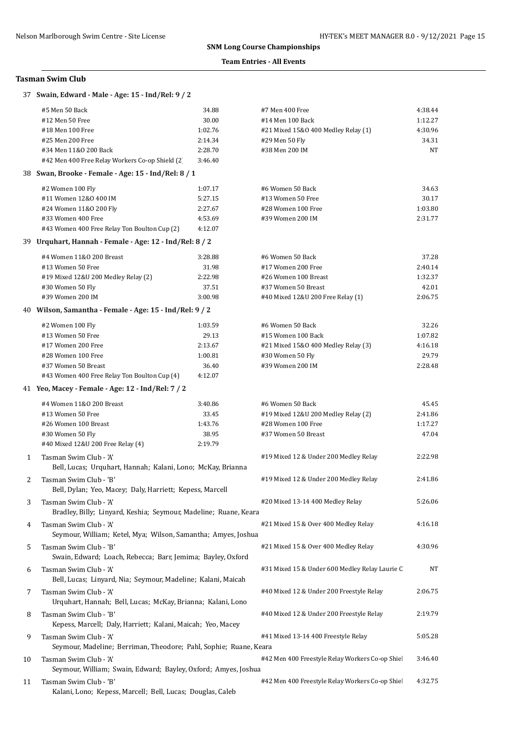## **Team Entries - All Events**

## **Tasman Swim Club**

|    | #5 Men 50 Back                                                                           | 34.88   | #7 Men 400 Free                                | 4:38.44   |
|----|------------------------------------------------------------------------------------------|---------|------------------------------------------------|-----------|
|    | #12 Men 50 Free                                                                          | 30.00   | #14 Men 100 Back                               | 1:12.27   |
|    | #18 Men 100 Free                                                                         | 1:02.76 | #21 Mixed 15&0 400 Medley Relay (1)            | 4:30.96   |
|    | #25 Men 200 Free                                                                         | 2:14.34 | #29 Men 50 Fly                                 | 34.31     |
|    | #34 Men 11&0 200 Back                                                                    | 2:28.70 | #38 Men 200 IM                                 | <b>NT</b> |
|    | #42 Men 400 Free Relay Workers Co-op Shield (2)                                          | 3:46.40 |                                                |           |
|    | 38 Swan, Brooke - Female - Age: 15 - Ind/Rel: 8 / 1                                      |         |                                                |           |
|    | #2 Women 100 Fly                                                                         | 1:07.17 | #6 Women 50 Back                               | 34.63     |
|    | #11 Women 12&0 400 IM                                                                    | 5:27.15 | #13 Women 50 Free                              | 30.17     |
|    | #24 Women 11&0 200 Fly                                                                   | 2:27.67 | #28 Women 100 Free                             | 1:03.80   |
|    | #33 Women 400 Free                                                                       | 4:53.69 | #39 Women 200 IM                               | 2:31.77   |
|    | #43 Women 400 Free Relay Ton Boulton Cup (2)                                             | 4:12.07 |                                                |           |
|    | 39 Urquhart, Hannah - Female - Age: 12 - Ind/Rel: 8 / 2                                  |         |                                                |           |
|    | #4 Women 11&0 200 Breast                                                                 | 3:28.88 | #6 Women 50 Back                               | 37.28     |
|    | #13 Women 50 Free                                                                        | 31.98   | #17 Women 200 Free                             | 2:40.14   |
|    | #19 Mixed 12&U 200 Medley Relay (2)                                                      | 2:22.98 | #26 Women 100 Breast                           | 1:32.37   |
|    | #30 Women 50 Fly                                                                         | 37.51   | #37 Women 50 Breast                            | 42.01     |
|    | #39 Women 200 IM                                                                         | 3:00.98 | #40 Mixed 12&U 200 Free Relay (1)              | 2:06.75   |
|    | 40 Wilson, Samantha - Female - Age: 15 - Ind/Rel: 9 / 2                                  |         |                                                |           |
|    | #2 Women 100 Fly                                                                         | 1:03.59 | #6 Women 50 Back                               | 32.26     |
|    | #13 Women 50 Free                                                                        | 29.13   | #15 Women 100 Back                             | 1:07.82   |
|    | #17 Women 200 Free                                                                       | 2:13.67 | #21 Mixed 15&0 400 Medley Relay (3)            | 4:16.18   |
|    | #28 Women 100 Free                                                                       | 1:00.81 | #30 Women 50 Fly                               | 29.79     |
|    | #37 Women 50 Breast                                                                      | 36.40   | #39 Women 200 IM                               | 2:28.48   |
|    | #43 Women 400 Free Relay Ton Boulton Cup (4)                                             | 4:12.07 |                                                |           |
|    | 41 Yeo, Macey - Female - Age: 12 - Ind/Rel: 7 / 2                                        |         |                                                |           |
|    |                                                                                          |         |                                                |           |
|    | #4 Women 11&0 200 Breast                                                                 | 3:40.86 | #6 Women 50 Back                               | 45.45     |
|    | #13 Women 50 Free                                                                        | 33.45   | #19 Mixed 12&U 200 Medley Relay (2)            | 2:41.86   |
|    | #26 Women 100 Breast                                                                     | 1:43.76 | #28 Women 100 Free                             | 1:17.27   |
|    | #30 Women 50 Fly                                                                         | 38.95   | #37 Women 50 Breast                            | 47.04     |
|    | #40 Mixed 12&U 200 Free Relay (4)                                                        | 2:19.79 |                                                |           |
| 1  | Tasman Swim Club - 'A'<br>Bell, Lucas; Urquhart, Hannah; Kalani, Lono; McKay, Brianna    |         | #19 Mixed 12 & Under 200 Medley Relay          | 2:22.98   |
| 2  | Tasman Swim Club - 'B'                                                                   |         | #19 Mixed 12 & Under 200 Medley Relay          | 2:41.86   |
|    | Bell, Dylan; Yeo, Macey; Daly, Harriett; Kepess, Marcell                                 |         |                                                |           |
| 3  | Tasman Swim Club - 'A'                                                                   |         | #20 Mixed 13-14 400 Medley Relay               | 5:26.06   |
|    | Bradley, Billy; Linyard, Keshia; Seymour, Madeline; Ruane, Keara                         |         |                                                |           |
| 4  | Tasman Swim Club - 'A'                                                                   |         | #21 Mixed 15 & Over 400 Medley Relay           | 4:16.18   |
|    | Seymour, William; Ketel, Mya; Wilson, Samantha; Amyes, Joshua                            |         |                                                |           |
| 5  | Tasman Swim Club - 'B'                                                                   |         | #21 Mixed 15 & Over 400 Medley Relay           | 4:30.96   |
|    | Swain, Edward; Loach, Rebecca; Barr, Jemima; Bayley, Oxford                              |         |                                                |           |
| 6  | Tasman Swim Club - 'A'                                                                   |         | #31 Mixed 15 & Under 600 Medley Relay Laurie C | NT        |
|    | Bell, Lucas; Linyard, Nia; Seymour, Madeline; Kalani, Maicah                             |         |                                                |           |
| 7  | Tasman Swim Club - 'A'                                                                   |         | #40 Mixed 12 & Under 200 Freestyle Relay       | 2:06.75   |
|    | Urquhart, Hannah; Bell, Lucas; McKay, Brianna; Kalani, Lono                              |         |                                                |           |
|    | Tasman Swim Club - 'B'                                                                   |         | #40 Mixed 12 & Under 200 Freestyle Relay       | 2:19.79   |
| 8  |                                                                                          |         |                                                |           |
|    | Kepess, Marcell; Daly, Harriett; Kalani, Maicah; Yeo, Macey                              |         |                                                |           |
| 9  | Tasman Swim Club - 'A'                                                                   |         | #41 Mixed 13-14 400 Freestyle Relay            | 5:05.28   |
|    | Seymour, Madeline; Berriman, Theodore; Pahl, Sophie; Ruane, Keara                        |         |                                                |           |
| 10 | Tasman Swim Club - 'A'<br>Seymour, William; Swain, Edward; Bayley, Oxford; Amyes, Joshua |         | #42 Men 400 Freestyle Relay Workers Co-op Shie | 3:46.40   |
|    |                                                                                          |         |                                                |           |
| 11 | Tasman Swim Club - 'B'<br>Kalani, Lono; Kepess, Marcell; Bell, Lucas; Douglas, Caleb     |         | #42 Men 400 Freestyle Relay Workers Co-op Shie | 4:32.75   |

# 37 **Swain, Edward - Male - Age: 15 - Ind/Rel: 9 / 2**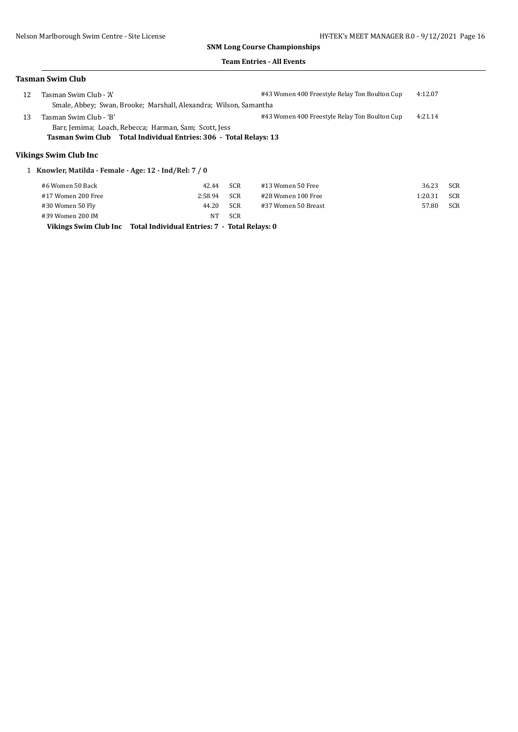#### **Team Entries - All Events**

#### **Tasman Swim Club**

| 12                    | Tasman Swim Club - 'A'                                            | #43 Women 400 Freestyle Relay Ton Boulton Cup | 4:12.07 |  |  |  |
|-----------------------|-------------------------------------------------------------------|-----------------------------------------------|---------|--|--|--|
|                       | Smale, Abbey; Swan, Brooke; Marshall, Alexandra; Wilson, Samantha |                                               |         |  |  |  |
| 13                    | Tasman Swim Club - 'B'                                            | #43 Women 400 Freestyle Relay Ton Boulton Cup | 4:21.14 |  |  |  |
|                       | Barr, Jemima; Loach, Rebecca; Harman, Sam; Scott, Jess            |                                               |         |  |  |  |
|                       | Tasman Swim Club Total Individual Entries: 306 - Total Relays: 13 |                                               |         |  |  |  |
| Vikings Swim Club Inc |                                                                   |                                               |         |  |  |  |
|                       | Knowler, Matilda - Female - Age: 12 - Ind/Rel: 7 / 0              |                                               |         |  |  |  |

## #6 Women 50 Back 42.44 SCR #13 Women 50 Free 36.23 SCR #17 Women 200 Free 2:58.94 SCR #28 Women 100 Free 1:20.31 SCR #30 Women 50 Fly 44.20 SCR #37 Women 50 Breast 57.80 SCR #39 Women 200 IM NT SCR

**Vikings Swim Club Inc Total Individual Entries: 7 - Total Relays: 0**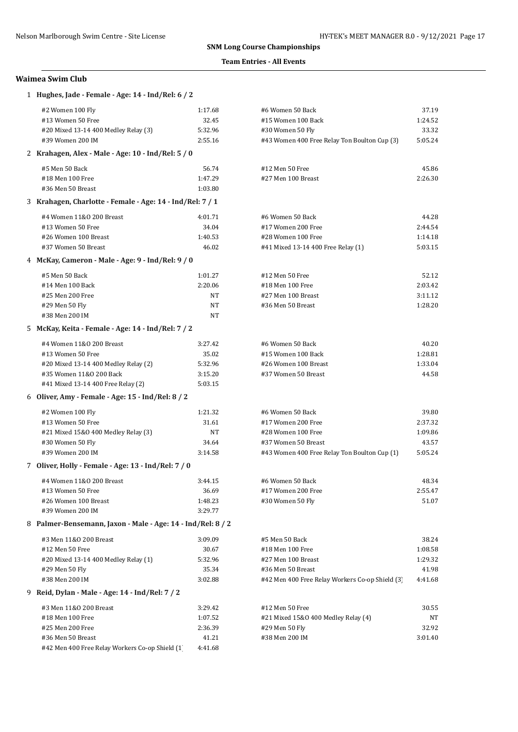## **Team Entries - All Events**

## **Waimea Swim Club**

| 1 Hughes, Jade - Female - Age: 14 - Ind/Rel: 6 / 2          |         |                                                 |         |  |  |
|-------------------------------------------------------------|---------|-------------------------------------------------|---------|--|--|
| #2 Women 100 Fly                                            | 1:17.68 | #6 Women 50 Back                                | 37.19   |  |  |
| #13 Women 50 Free                                           | 32.45   | #15 Women 100 Back                              | 1:24.52 |  |  |
| #20 Mixed 13-14 400 Medley Relay (3)                        | 5:32.96 | #30 Women 50 Fly                                | 33.32   |  |  |
| #39 Women 200 IM                                            | 2:55.16 | #43 Women 400 Free Relay Ton Boulton Cup (3)    | 5:05.24 |  |  |
| 2 Krahagen, Alex - Male - Age: 10 - Ind/Rel: 5 / 0          |         |                                                 |         |  |  |
| #5 Men 50 Back                                              | 56.74   | #12 Men 50 Free                                 | 45.86   |  |  |
| #18 Men 100 Free                                            | 1:47.29 | #27 Men 100 Breast                              | 2:26.30 |  |  |
| #36 Men 50 Breast                                           | 1:03.80 |                                                 |         |  |  |
| 3 Krahagen, Charlotte - Female - Age: 14 - Ind/Rel: 7 / 1   |         |                                                 |         |  |  |
| #4 Women 11&0 200 Breast                                    | 4:01.71 | #6 Women 50 Back                                | 44.28   |  |  |
| #13 Women 50 Free                                           | 34.04   | #17 Women 200 Free                              | 2:44.54 |  |  |
| #26 Women 100 Breast                                        | 1:40.53 | #28 Women 100 Free                              | 1:14.18 |  |  |
| #37 Women 50 Breast                                         | 46.02   | #41 Mixed 13-14 400 Free Relay (1)              | 5:03.15 |  |  |
| 4 McKay, Cameron - Male - Age: 9 - Ind/Rel: 9 / 0           |         |                                                 |         |  |  |
| #5 Men 50 Back                                              | 1:01.27 | #12 Men 50 Free                                 | 52.12   |  |  |
| #14 Men 100 Back                                            | 2:20.06 | #18 Men 100 Free                                | 2:03.42 |  |  |
| #25 Men 200 Free                                            | NT      | #27 Men 100 Breast                              | 3:11.12 |  |  |
| #29 Men 50 Fly                                              | NT      | #36 Men 50 Breast                               | 1:28.20 |  |  |
| #38 Men 200 IM                                              | NT      |                                                 |         |  |  |
| 5 McKay, Keita - Female - Age: 14 - Ind/Rel: 7 / 2          |         |                                                 |         |  |  |
| #4 Women 11&0 200 Breast                                    | 3:27.42 | #6 Women 50 Back                                | 40.20   |  |  |
| #13 Women 50 Free                                           | 35.02   | #15 Women 100 Back                              | 1:28.81 |  |  |
| #20 Mixed 13-14 400 Medley Relay (2)                        | 5:32.96 | #26 Women 100 Breast                            | 1:33.04 |  |  |
| #35 Women 11&0 200 Back                                     | 3:15.20 | #37 Women 50 Breast                             | 44.58   |  |  |
| #41 Mixed 13-14 400 Free Relay (2)                          | 5:03.15 |                                                 |         |  |  |
| 6 Oliver, Amy - Female - Age: 15 - Ind/Rel: 8 / 2           |         |                                                 |         |  |  |
| #2 Women 100 Fly                                            | 1:21.32 | #6 Women 50 Back                                | 39.80   |  |  |
| #13 Women 50 Free                                           | 31.61   | #17 Women 200 Free                              | 2:37.32 |  |  |
| #21 Mixed 15&0 400 Medley Relay (3)                         | NT      | #28 Women 100 Free                              | 1:09.86 |  |  |
| #30 Women 50 Fly                                            | 34.64   | #37 Women 50 Breast                             | 43.57   |  |  |
| #39 Women 200 IM                                            | 3:14.58 | #43 Women 400 Free Relay Ton Boulton Cup (1)    | 5:05.24 |  |  |
| 7 Oliver, Holly - Female - Age: 13 - Ind/Rel: 7 / 0         |         |                                                 |         |  |  |
| #4 Women 11&0 200 Breast                                    | 3:44.15 | #6 Women 50 Back                                | 48.34   |  |  |
| #13 Women 50 Free                                           | 36.69   | #17 Women 200 Free                              | 2:55.47 |  |  |
| #26 Women 100 Breast                                        | 1:48.23 | #30 Women 50 Fly                                | 51.07   |  |  |
| #39 Women 200 IM                                            | 3:29.77 |                                                 |         |  |  |
| 8 Palmer-Bensemann, Jaxon - Male - Age: 14 - Ind/Rel: 8 / 2 |         |                                                 |         |  |  |
| #3 Men 11&0 200 Breast                                      | 3:09.09 | #5 Men 50 Back                                  | 38.24   |  |  |
| #12 Men 50 Free                                             | 30.67   | #18 Men 100 Free                                | 1:08.58 |  |  |
| #20 Mixed 13-14 400 Medley Relay (1)                        | 5:32.96 | #27 Men 100 Breast                              | 1:29.32 |  |  |
| #29 Men 50 Fly                                              | 35.34   | #36 Men 50 Breast                               | 41.98   |  |  |
| #38 Men 200 IM                                              | 3:02.88 | #42 Men 400 Free Relay Workers Co-op Shield (3) | 4:41.68 |  |  |
| 9 Reid, Dylan - Male - Age: 14 - Ind/Rel: 7 / 2             |         |                                                 |         |  |  |
| #3 Men 11&0 200 Breast                                      | 3:29.42 | #12 Men 50 Free                                 | 30.55   |  |  |
| #18 Men 100 Free                                            | 1:07.52 | #21 Mixed 15&0 400 Medley Relay (4)             | NT      |  |  |
| #25 Men 200 Free                                            | 2:36.39 | #29 Men 50 Fly                                  | 32.92   |  |  |
| #36 Men 50 Breast                                           | 41.21   | #38 Men 200 IM                                  | 3:01.40 |  |  |
| #42 Men 400 Free Relay Workers Co-op Shield (1)             | 4:41.68 |                                                 |         |  |  |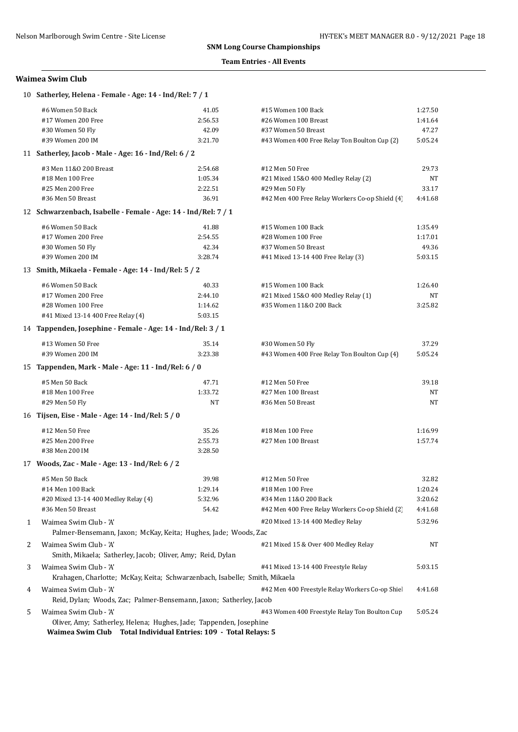## **Team Entries - All Events**

## **Waimea Swim Club**

|   | 10 Satherley, Helena - Female - Age: 14 - Ind/Rel: 7 / 1                                  |         |                                                 |         |  |  |
|---|-------------------------------------------------------------------------------------------|---------|-------------------------------------------------|---------|--|--|
|   | #6 Women 50 Back                                                                          | 41.05   | #15 Women 100 Back                              | 1:27.50 |  |  |
|   | #17 Women 200 Free                                                                        | 2:56.53 | #26 Women 100 Breast                            | 1:41.64 |  |  |
|   | #30 Women 50 Fly                                                                          | 42.09   | #37 Women 50 Breast                             | 47.27   |  |  |
|   | #39 Women 200 IM                                                                          | 3:21.70 | #43 Women 400 Free Relay Ton Boulton Cup (2)    | 5:05.24 |  |  |
|   | 11 Satherley, Jacob - Male - Age: 16 - Ind/Rel: 6 / 2                                     |         |                                                 |         |  |  |
|   | #3 Men 11&0 200 Breast                                                                    | 2:54.68 | #12 Men 50 Free                                 | 29.73   |  |  |
|   | #18 Men 100 Free                                                                          | 1:05.34 | #21 Mixed 15&0 400 Medley Relay (2)             | NT      |  |  |
|   | #25 Men 200 Free                                                                          | 2:22.51 | #29 Men 50 Fly                                  | 33.17   |  |  |
|   | #36 Men 50 Breast                                                                         | 36.91   | #42 Men 400 Free Relay Workers Co-op Shield (4) | 4:41.68 |  |  |
|   | 12 Schwarzenbach, Isabelle - Female - Age: 14 - Ind/Rel: 7 / 1                            |         |                                                 |         |  |  |
|   | #6 Women 50 Back                                                                          | 41.88   | #15 Women 100 Back                              | 1:35.49 |  |  |
|   | #17 Women 200 Free                                                                        | 2:54.55 | #28 Women 100 Free                              | 1:17.01 |  |  |
|   | #30 Women 50 Fly                                                                          | 42.34   | #37 Women 50 Breast                             | 49.36   |  |  |
|   | #39 Women 200 IM                                                                          | 3:28.74 | #41 Mixed 13-14 400 Free Relay (3)              | 5:03.15 |  |  |
|   | 13 Smith, Mikaela - Female - Age: 14 - Ind/Rel: 5 / 2                                     |         |                                                 |         |  |  |
|   | #6 Women 50 Back                                                                          | 40.33   | #15 Women 100 Back                              | 1:26.40 |  |  |
|   | #17 Women 200 Free                                                                        | 2:44.10 | #21 Mixed 15&0 400 Medley Relay (1)             | NT      |  |  |
|   | #28 Women 100 Free                                                                        | 1:14.62 | #35 Women 11&0 200 Back                         | 3:25.82 |  |  |
|   | #41 Mixed 13-14 400 Free Relay (4)                                                        | 5:03.15 |                                                 |         |  |  |
|   | 14 Tappenden, Josephine - Female - Age: 14 - Ind/Rel: 3 / 1                               |         |                                                 |         |  |  |
|   | #13 Women 50 Free                                                                         | 35.14   | #30 Women 50 Fly                                | 37.29   |  |  |
|   | #39 Women 200 IM                                                                          | 3:23.38 | #43 Women 400 Free Relay Ton Boulton Cup (4)    | 5:05.24 |  |  |
|   | 15 Tappenden, Mark - Male - Age: 11 - Ind/Rel: 6 / 0                                      |         |                                                 |         |  |  |
|   | #5 Men 50 Back                                                                            | 47.71   | #12 Men 50 Free                                 | 39.18   |  |  |
|   | #18 Men 100 Free                                                                          | 1:33.72 | #27 Men 100 Breast                              | NT      |  |  |
|   | #29 Men 50 Fly                                                                            | NT      | #36 Men 50 Breast                               | NT      |  |  |
|   | 16 Tijsen, Eise - Male - Age: 14 - Ind/Rel: 5 / 0                                         |         |                                                 |         |  |  |
|   |                                                                                           |         |                                                 |         |  |  |
|   | #12 Men 50 Free                                                                           | 35.26   | #18 Men 100 Free                                | 1:16.99 |  |  |
|   | #25 Men 200 Free                                                                          | 2:55.73 | #27 Men 100 Breast                              | 1:57.74 |  |  |
|   | #38 Men 200 IM                                                                            | 3:28.50 |                                                 |         |  |  |
|   | 17 Woods, Zac - Male - Age: 13 - Ind/Rel: 6 / 2                                           |         |                                                 |         |  |  |
|   | #5 Men 50 Back                                                                            | 39.98   | #12 Men 50 Free                                 | 32.82   |  |  |
|   | #14 Men 100 Back                                                                          | 1:29.14 | #18 Men 100 Free                                | 1:20.24 |  |  |
|   | #20 Mixed 13-14 400 Medley Relay (4)                                                      | 5:32.96 | #34 Men 11&0 200 Back                           | 3:20.62 |  |  |
|   | #36 Men 50 Breast                                                                         | 54.42   | #42 Men 400 Free Relay Workers Co-op Shield (2) | 4:41.68 |  |  |
| 1 | Waimea Swim Club - 'A'<br>Palmer-Bensemann, Jaxon; McKay, Keita; Hughes, Jade; Woods, Zac |         | #20 Mixed 13-14 400 Medley Relay                | 5:32.96 |  |  |
|   |                                                                                           |         |                                                 |         |  |  |
| 2 | Waimea Swim Club - 'A'<br>Smith, Mikaela; Satherley, Jacob; Oliver, Amy; Reid, Dylan      |         | #21 Mixed 15 & Over 400 Medley Relay            | NΤ      |  |  |
| 3 | Waimea Swim Club - 'A'                                                                    |         | #41 Mixed 13-14 400 Freestyle Relay             | 5:03.15 |  |  |
|   | Krahagen, Charlotte; McKay, Keita; Schwarzenbach, Isabelle; Smith, Mikaela                |         |                                                 |         |  |  |
| 4 | Waimea Swim Club - 'A'                                                                    |         | #42 Men 400 Freestyle Relay Workers Co-op Shie  | 4:41.68 |  |  |
|   | Reid, Dylan; Woods, Zac; Palmer-Bensemann, Jaxon; Satherley, Jacob                        |         |                                                 |         |  |  |
|   | Waimea Swim Club - 'A'                                                                    |         | #43 Women 400 Freestyle Relay Ton Boulton Cup   | 5:05.24 |  |  |
| 5 | Oliver, Amy; Satherley, Helena; Hughes, Jade; Tappenden, Josephine                        |         |                                                 |         |  |  |
|   | Waimea Swim Club Total Individual Entries: 109 - Total Relays: 5                          |         |                                                 |         |  |  |